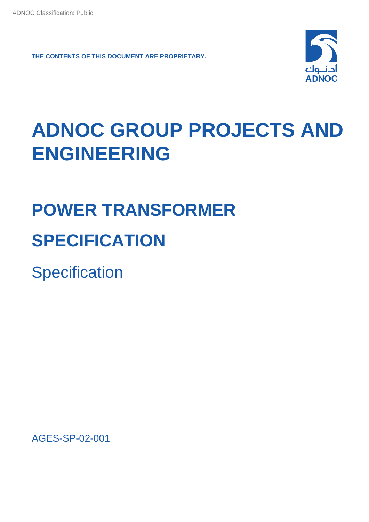**THE CONTENTS OF THIS DOCUMENT ARE PROPRIETARY.**



## **ADNOC GROUP PROJECTS AND ENGINEERING**

# **POWER TRANSFORMER SPECIFICATION**

**Specification** 

AGES-SP-02-001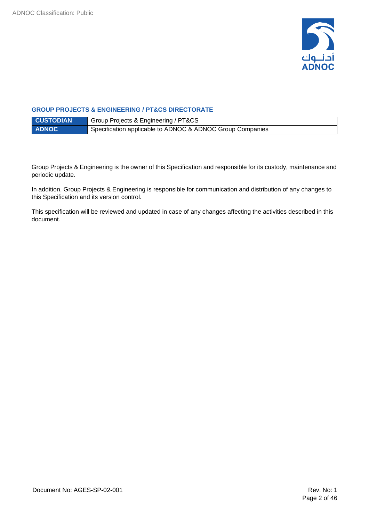

#### **GROUP PROJECTS & ENGINEERING / PT&CS DIRECTORATE**

| <b>CUSTODIAN</b> | Group Projects & Engineering / PT&CS                      |
|------------------|-----------------------------------------------------------|
| <b>ADNOC</b>     | Specification applicable to ADNOC & ADNOC Group Companies |

Group Projects & Engineering is the owner of this Specification and responsible for its custody, maintenance and periodic update.

In addition, Group Projects & Engineering is responsible for communication and distribution of any changes to this Specification and its version control.

This specification will be reviewed and updated in case of any changes affecting the activities described in this document.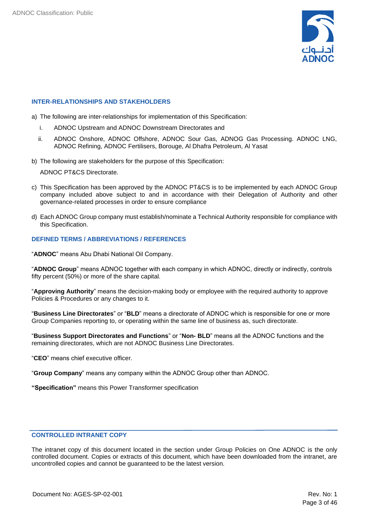

#### **INTER-RELATIONSHIPS AND STAKEHOLDERS**

- a) The following are inter-relationships for implementation of this Specification:
	- i. ADNOC Upstream and ADNOC Downstream Directorates and
	- ii. ADNOC Onshore, ADNOC Offshore, ADNOC Sour Gas, ADNOG Gas Processing. ADNOC LNG, ADNOC Refining, ADNOC Fertilisers, Borouge, Al Dhafra Petroleum, Al Yasat
- b) The following are stakeholders for the purpose of this Specification:

ADNOC PT&CS Directorate.

- c) This Specification has been approved by the ADNOC PT&CS is to be implemented by each ADNOC Group company included above subject to and in accordance with their Delegation of Authority and other governance-related processes in order to ensure compliance
- d) Each ADNOC Group company must establish/nominate a Technical Authority responsible for compliance with this Specification.

#### **DEFINED TERMS / ABBREVIATIONS / REFERENCES**

"**ADNOC**" means Abu Dhabi National Oil Company.

"**ADNOC Group**" means ADNOC together with each company in which ADNOC, directly or indirectly, controls fifty percent (50%) or more of the share capital.

"**Approving Authority**" means the decision-making body or employee with the required authority to approve Policies & Procedures or any changes to it.

"**Business Line Directorates**" or "**BLD**" means a directorate of ADNOC which is responsible for one or more Group Companies reporting to, or operating within the same line of business as, such directorate.

"**Business Support Directorates and Functions**" or "**Non- BLD**" means all the ADNOC functions and the remaining directorates, which are not ADNOC Business Line Directorates.

"**CEO**" means chief executive officer.

"**Group Company**" means any company within the ADNOC Group other than ADNOC.

**"Specification"** means this Power Transformer specification

#### **CONTROLLED INTRANET COPY**

The intranet copy of this document located in the section under Group Policies on One ADNOC is the only controlled document. Copies or extracts of this document, which have been downloaded from the intranet, are uncontrolled copies and cannot be guaranteed to be the latest version.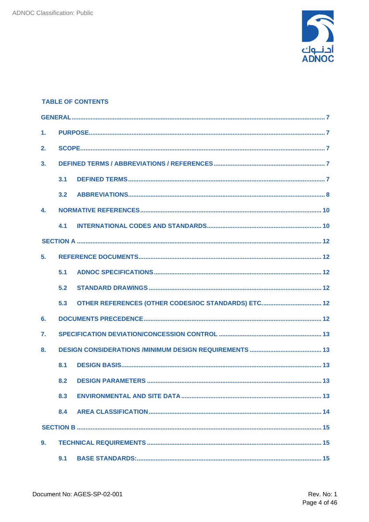

#### **TABLE OF CONTENTS**

| 1 <sub>1</sub> |     |                                                     |
|----------------|-----|-----------------------------------------------------|
| 2.             |     |                                                     |
| 3.             |     |                                                     |
|                | 3.1 |                                                     |
|                | 3.2 |                                                     |
| 4.             |     |                                                     |
|                | 4.1 |                                                     |
|                |     |                                                     |
| 5.             |     |                                                     |
|                | 5.1 |                                                     |
|                | 5.2 |                                                     |
|                | 5.3 | OTHER REFERENCES (OTHER CODES/IOC STANDARDS) ETC 12 |
| 6.             |     |                                                     |
| $\mathbf{7}$ . |     |                                                     |
| 8.             |     |                                                     |
|                | 8.1 |                                                     |
|                | 8.2 |                                                     |
|                | 8.3 |                                                     |
|                | 8.4 |                                                     |
|                |     |                                                     |
| 9.             |     |                                                     |
|                | 9.1 |                                                     |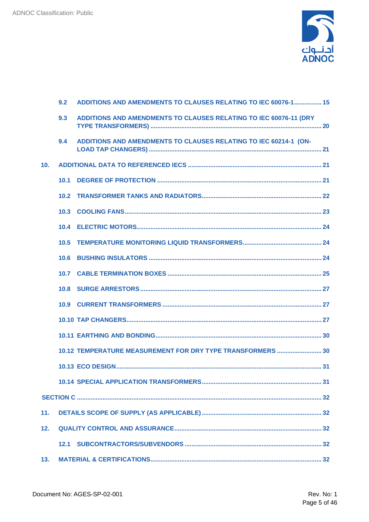

|     | 9.2               | ADDITIONS AND AMENDMENTS TO CLAUSES RELATING TO IEC 60076-1 15           |
|-----|-------------------|--------------------------------------------------------------------------|
|     | 9.3               | <b>ADDITIONS AND AMENDMENTS TO CLAUSES RELATING TO IEC 60076-11 (DRY</b> |
|     | 9.4               | ADDITIONS AND AMENDMENTS TO CLAUSES RELATING TO IEC 60214-1 (ON-         |
| 10. |                   |                                                                          |
|     | 10.1              |                                                                          |
|     | 10.2 <sub>1</sub> |                                                                          |
|     | 10.3              |                                                                          |
|     |                   |                                                                          |
|     | 10.5              |                                                                          |
|     | 10.6              |                                                                          |
|     |                   |                                                                          |
|     |                   |                                                                          |
|     |                   |                                                                          |
|     |                   |                                                                          |
|     |                   |                                                                          |
|     |                   | 10.12 TEMPERATURE MEASUREMENT FOR DRY TYPE TRANSFORMERS  30              |
|     |                   |                                                                          |
|     |                   |                                                                          |
|     |                   |                                                                          |
| 11. |                   |                                                                          |
| 12. |                   |                                                                          |
|     |                   |                                                                          |
| 13. |                   |                                                                          |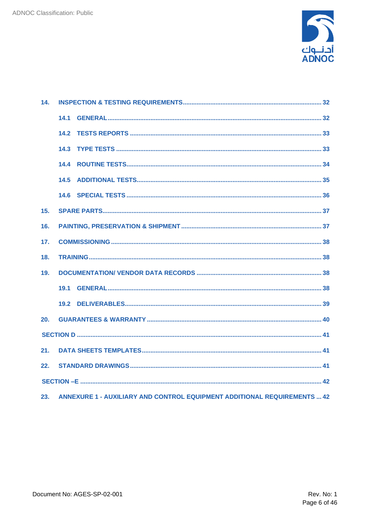

| 14.             |      |                                                                                 |  |  |
|-----------------|------|---------------------------------------------------------------------------------|--|--|
|                 | 14.1 |                                                                                 |  |  |
|                 | 14.2 |                                                                                 |  |  |
|                 | 14.3 |                                                                                 |  |  |
|                 |      |                                                                                 |  |  |
|                 | 14.5 |                                                                                 |  |  |
|                 |      |                                                                                 |  |  |
| 15.             |      |                                                                                 |  |  |
| 16.             |      |                                                                                 |  |  |
| 17.             |      |                                                                                 |  |  |
| 18.             |      |                                                                                 |  |  |
| 19.             |      |                                                                                 |  |  |
|                 | 19.1 |                                                                                 |  |  |
|                 |      |                                                                                 |  |  |
| 20 <sub>1</sub> |      |                                                                                 |  |  |
|                 |      |                                                                                 |  |  |
| 21.             |      |                                                                                 |  |  |
| 22.             |      |                                                                                 |  |  |
|                 |      |                                                                                 |  |  |
| 23.             |      | <b>ANNEXURE 1 - AUXILIARY AND CONTROL EQUIPMENT ADDITIONAL REQUIREMENTS  42</b> |  |  |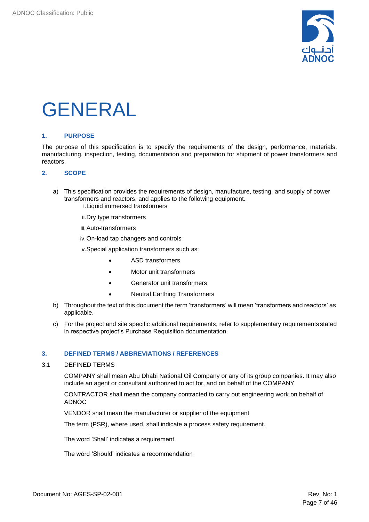

### <span id="page-6-0"></span>GENERAL

#### <span id="page-6-1"></span>**1. PURPOSE**

The purpose of this specification is to specify the requirements of the design, performance, materials, manufacturing, inspection, testing, documentation and preparation for shipment of power transformers and reactors.

#### <span id="page-6-2"></span>**2. SCOPE**

- a) This specification provides the requirements of design, manufacture, testing, and supply of power transformers and reactors, and applies to the following equipment. i.Liquid immersed transformers
	- ii.Dry type transformers
	- iii.Auto-transformers
	- iv.On-load tap changers and controls
	- v.Special application transformers such as:
		- ASD transformers
		- Motor unit transformers
		- Generator unit transformers
		- Neutral Earthing Transformers
- b) Throughout the text of this document the term 'transformers' will mean 'transformers and reactors' as applicable.
- c) For the project and site specific additional requirements, refer to supplementary requirements stated in respective project's Purchase Requisition documentation.

#### <span id="page-6-3"></span>**3. DEFINED TERMS / ABBREVIATIONS / REFERENCES**

#### <span id="page-6-4"></span>3.1 DEFINED TERMS

COMPANY shall mean Abu Dhabi National Oil Company or any of its group companies. It may also include an agent or consultant authorized to act for, and on behalf of the COMPANY

CONTRACTOR shall mean the company contracted to carry out engineering work on behalf of ADNOC

VENDOR shall mean the manufacturer or supplier of the equipment

The term (PSR), where used, shall indicate a process safety requirement.

The word 'Shall' indicates a requirement.

The word 'Should' indicates a recommendation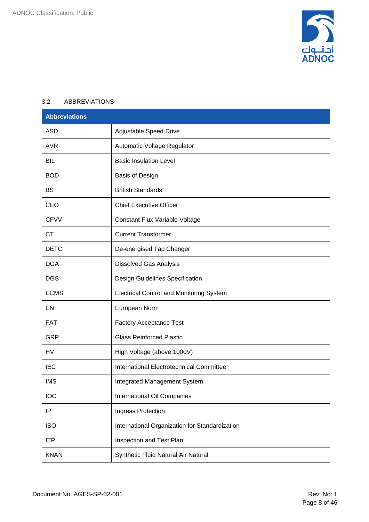

#### <span id="page-7-0"></span>3.2 ABBREVIATIONS

| <b>Abbreviations</b> |                                                 |
|----------------------|-------------------------------------------------|
| <b>ASD</b>           | Adjustable Speed Drive                          |
| <b>AVR</b>           | Automatic Voltage Regulator                     |
| <b>BIL</b>           | <b>Basic Insulation Level</b>                   |
| <b>BOD</b>           | Basis of Design                                 |
| <b>BS</b>            | <b>British Standards</b>                        |
| CEO                  | <b>Chief Executive Officer</b>                  |
| <b>CFVV</b>          | Constant Flux Variable Voltage                  |
| <b>CT</b>            | <b>Current Transformer</b>                      |
| <b>DETC</b>          | De-energised Tap Changer                        |
| <b>DGA</b>           | <b>Dissolved Gas Analysis</b>                   |
| <b>DGS</b>           | Design Guidelines Specification                 |
| <b>ECMS</b>          | <b>Electrical Control and Monitoring System</b> |
| EN                   | European Norm                                   |
| <b>FAT</b>           | <b>Factory Acceptance Test</b>                  |
| <b>GRP</b>           | <b>Glass Reinforced Plastic</b>                 |
| HV                   | High Voltage (above 1000V)                      |
| <b>IEC</b>           | International Electrotechnical Committee        |
| <b>IMS</b>           | <b>Integrated Management System</b>             |
| <b>IOC</b>           | International Oil Companies                     |
| ΙP                   | Ingress Protection                              |
| <b>ISO</b>           | International Organization for Standardization  |
| <b>ITP</b>           | Inspection and Test Plan                        |
| <b>KNAN</b>          | Synthetic Fluid Natural Air Natural             |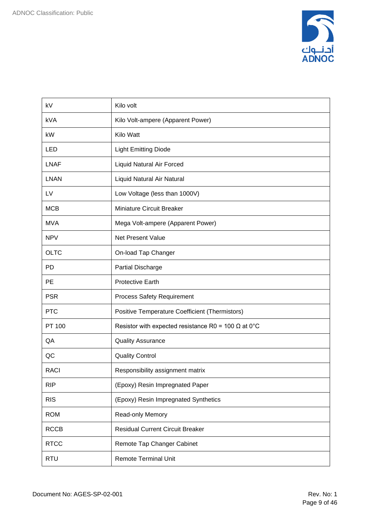

| kV          | Kilo volt                                                  |
|-------------|------------------------------------------------------------|
| <b>kVA</b>  | Kilo Volt-ampere (Apparent Power)                          |
| kW          | Kilo Watt                                                  |
| <b>LED</b>  | <b>Light Emitting Diode</b>                                |
| <b>LNAF</b> | Liquid Natural Air Forced                                  |
| <b>LNAN</b> | Liquid Natural Air Natural                                 |
| LV          | Low Voltage (less than 1000V)                              |
| <b>MCB</b>  | <b>Miniature Circuit Breaker</b>                           |
| <b>MVA</b>  | Mega Volt-ampere (Apparent Power)                          |
| <b>NPV</b>  | Net Present Value                                          |
| <b>OLTC</b> | On-load Tap Changer                                        |
| <b>PD</b>   | <b>Partial Discharge</b>                                   |
| <b>PE</b>   | <b>Protective Earth</b>                                    |
| <b>PSR</b>  | <b>Process Safety Requirement</b>                          |
| <b>PTC</b>  | Positive Temperature Coefficient (Thermistors)             |
| PT 100      | Resistor with expected resistance R0 = 100 $\Omega$ at 0°C |
| QA          | <b>Quality Assurance</b>                                   |
| QC          | <b>Quality Control</b>                                     |
| <b>RACI</b> | Responsibility assignment matrix                           |
| <b>RIP</b>  | (Epoxy) Resin Impregnated Paper                            |
| <b>RIS</b>  | (Epoxy) Resin Impregnated Synthetics                       |
| <b>ROM</b>  | Read-only Memory                                           |
| <b>RCCB</b> | <b>Residual Current Circuit Breaker</b>                    |
| <b>RTCC</b> | Remote Tap Changer Cabinet                                 |
| <b>RTU</b>  | <b>Remote Terminal Unit</b>                                |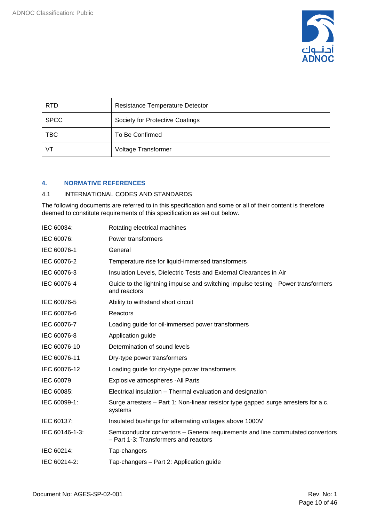

| <b>RTD</b>  | Resistance Temperature Detector |
|-------------|---------------------------------|
| <b>SPCC</b> | Society for Protective Coatings |
| <b>TBC</b>  | To Be Confirmed                 |
| VT          | Voltage Transformer             |

#### <span id="page-9-0"></span>**4. NORMATIVE REFERENCES**

#### <span id="page-9-1"></span>4.1 INTERNATIONAL CODES AND STANDARDS

The following documents are referred to in this specification and some or all of their content is therefore deemed to constitute requirements of this specification as set out below.

| IEC 60034:     | Rotating electrical machines                                                                                            |
|----------------|-------------------------------------------------------------------------------------------------------------------------|
| IEC 60076:     | Power transformers                                                                                                      |
| IEC 60076-1    | General                                                                                                                 |
| IEC 60076-2    | Temperature rise for liquid-immersed transformers                                                                       |
| IEC 60076-3    | Insulation Levels, Dielectric Tests and External Clearances in Air                                                      |
| IEC 60076-4    | Guide to the lightning impulse and switching impulse testing - Power transformers<br>and reactors                       |
| IEC 60076-5    | Ability to withstand short circuit                                                                                      |
| IEC 60076-6    | Reactors                                                                                                                |
| IEC 60076-7    | Loading guide for oil-immersed power transformers                                                                       |
| IEC 60076-8    | Application guide                                                                                                       |
| IEC 60076-10   | Determination of sound levels                                                                                           |
| IEC 60076-11   | Dry-type power transformers                                                                                             |
| IEC 60076-12   | Loading guide for dry-type power transformers                                                                           |
| IEC 60079      | Explosive atmospheres - All Parts                                                                                       |
| IEC 60085:     | Electrical insulation - Thermal evaluation and designation                                                              |
| IEC 60099-1:   | Surge arresters – Part 1: Non-linear resistor type gapped surge arresters for a.c.<br>systems                           |
| IEC 60137:     | Insulated bushings for alternating voltages above 1000V                                                                 |
| IEC 60146-1-3: | Semiconductor convertors – General requirements and line commutated convertors<br>- Part 1-3: Transformers and reactors |
| IEC 60214:     | Tap-changers                                                                                                            |
| IEC 60214-2:   | Tap-changers - Part 2: Application guide                                                                                |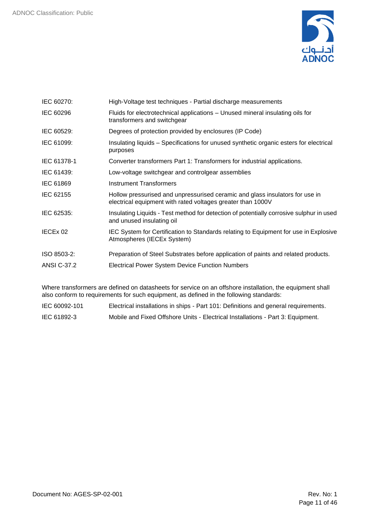

| IEC 60270:         | High-Voltage test techniques - Partial discharge measurements                                                                               |
|--------------------|---------------------------------------------------------------------------------------------------------------------------------------------|
| IEC 60296          | Fluids for electrotechnical applications - Unused mineral insulating oils for<br>transformers and switchgear                                |
| IEC 60529:         | Degrees of protection provided by enclosures (IP Code)                                                                                      |
| IEC 61099:         | Insulating liquids – Specifications for unused synthetic organic esters for electrical<br>purposes                                          |
| IEC 61378-1        | Converter transformers Part 1: Transformers for industrial applications.                                                                    |
| IEC 61439:         | Low-voltage switchgear and controlgear assemblies                                                                                           |
| IEC 61869          | <b>Instrument Transformers</b>                                                                                                              |
| IEC 62155          | Hollow pressurised and unpressurised ceramic and glass insulators for use in<br>electrical equipment with rated voltages greater than 1000V |
| IEC 62535:         | Insulating Liquids - Test method for detection of potentially corrosive sulphur in used<br>and unused insulating oil                        |
| IECEx 02           | IEC System for Certification to Standards relating to Equipment for use in Explosive<br>Atmospheres (IECEx System)                          |
| ISO 8503-2:        | Preparation of Steel Substrates before application of paints and related products.                                                          |
| <b>ANSI C-37.2</b> | <b>Electrical Power System Device Function Numbers</b>                                                                                      |
|                    |                                                                                                                                             |

Where transformers are defined on datasheets for service on an offshore installation, the equipment shall also conform to requirements for such equipment, as defined in the following standards:

- IEC 60092-101 Electrical installations in ships Part 101: Definitions and general requirements.
- IEC 61892-3 Mobile and Fixed Offshore Units Electrical Installations Part 3: Equipment.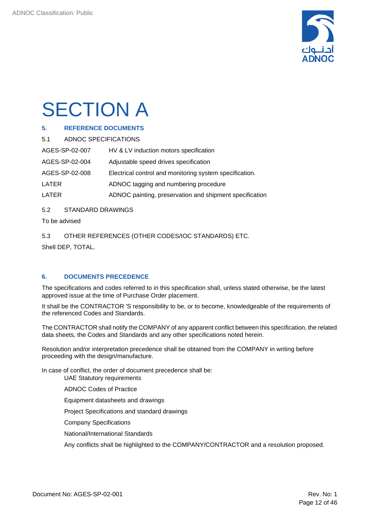

## <span id="page-11-0"></span>**SECTION A**

#### <span id="page-11-1"></span>**5. REFERENCE DOCUMENTS**

<span id="page-11-2"></span>5.1 ADNOC SPECIFICATIONS

AGES-SP-02-007 HV & LV induction motors specification

AGES-SP-02-004 Adjustable speed drives specification

AGES-SP-02-008 Electrical control and monitoring system specification.

LATER ADNOC tagging and numbering procedure

LATER ADNOC painting, preservation and shipment specification

<span id="page-11-3"></span>5.2 STANDARD DRAWINGS

To be advised

<span id="page-11-4"></span>5.3 OTHER REFERENCES (OTHER CODES/IOC STANDARDS) ETC.

Shell DEP, TOTAL.

#### <span id="page-11-5"></span>**6. DOCUMENTS PRECEDENCE**

The specifications and codes referred to in this specification shall, unless stated otherwise, be the latest approved issue at the time of Purchase Order placement.

It shall be the CONTRACTOR 'S responsibility to be, or to become, knowledgeable of the requirements of the referenced Codes and Standards.

The CONTRACTOR shall notify the COMPANY of any apparent conflict between this specification, the related data sheets, the Codes and Standards and any other specifications noted herein.

Resolution and/or interpretation precedence shall be obtained from the COMPANY in writing before proceeding with the design/manufacture.

In case of conflict, the order of document precedence shall be: UAE Statutory requirements

ADNOC Codes of Practice

Equipment datasheets and drawings

Project Specifications and standard drawings

Company Specifications

National/International Standards

Any conflicts shall be highlighted to the COMPANY/CONTRACTOR and a resolution proposed.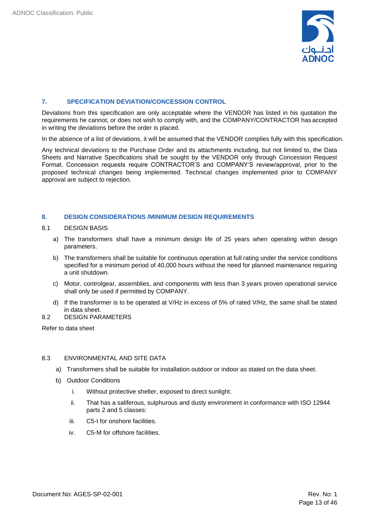

#### <span id="page-12-0"></span>**7. SPECIFICATION DEVIATION/CONCESSION CONTROL**

Deviations from this specification are only acceptable where the VENDOR has listed in his quotation the requirements he cannot, or does not wish to comply with, and the COMPANY/CONTRACTOR has accepted in writing the deviations before the order is placed.

In the absence of a list of deviations, it will be assumed that the VENDOR complies fully with this specification.

Any technical deviations to the Purchase Order and its attachments including, but not limited to, the Data Sheets and Narrative Specifications shall be sought by the VENDOR only through Concession Request Format. Concession requests require CONTRACTOR'S and COMPANY'S review/approval, prior to the proposed technical changes being implemented. Technical changes implemented prior to COMPANY approval are subject to rejection.

#### <span id="page-12-1"></span>**8. DESIGN CONSIDERATIONS /MINIMUM DESIGN REQUIREMENTS**

#### <span id="page-12-2"></span>8.1 DESIGN BASIS

- a) The transformers shall have a minimum design life of 25 years when operating within design parameters.
- b) The transformers shall be suitable for continuous operation at full rating under the service conditions specified for a minimum period of 40,000 hours without the need for planned maintenance requiring a unit shutdown.
- c) Motor, controlgear, assemblies, and components with less than 3 years proven operational service shall only be used if permitted by COMPANY.
- d) If the transformer is to be operated at V/Hz in excess of 5% of rated V/Hz, the same shall be stated in data sheet.
- <span id="page-12-3"></span>8.2 DESIGN PARAMETERS

Refer to data sheet

#### <span id="page-12-4"></span>8.3 ENVIRONMENTAL AND SITE DATA

- a) Transformers shall be suitable for installation outdoor or indoor as stated on the data sheet.
- b) Outdoor Conditions
	- i. Without protective shelter, exposed to direct sunlight.
	- ii. That has a saliferous, sulphurous and dusty environment in conformance with ISO 12944 parts 2 and 5 classes:
	- iii. C5-I for onshore facilities.
	- iv. C5-M for offshore facilities.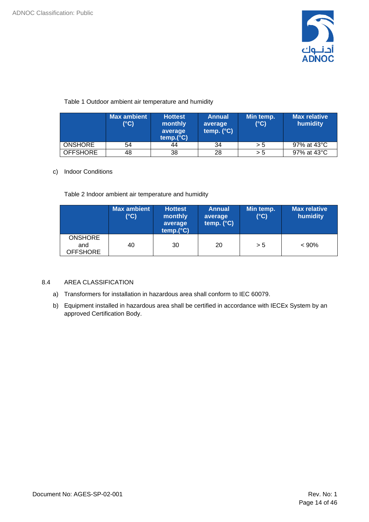

#### Table 1 Outdoor ambient air temperature and humidity

|                 | <b>Max ambient</b><br>(°C) | <b>Hottest</b><br>monthly<br>average<br>temp.(°C) | <b>Annual</b><br>average<br>temp. $(^{\circ}C)$ | Min temp.<br>$(^{\circ}C)$ | Max relative<br>humidity |
|-----------------|----------------------------|---------------------------------------------------|-------------------------------------------------|----------------------------|--------------------------|
| <b>ONSHORE</b>  | 54                         | 44                                                | 34                                              | > 5                        | 97% at 43°C              |
| <b>OFFSHORE</b> | 48                         | 38                                                | 28                                              | > 5                        | 97% at 43°C              |

#### c) Indoor Conditions

Table 2 Indoor ambient air temperature and humidity

|                                          | <b>Max ambient</b><br>(°C) | <b>Hottest</b><br>monthly<br>average<br>temp.(°C) | <b>Annual</b><br>average<br>temp. $(^{\circ}C)$ | Min temp.<br>$(^{\circ}C)$ | <b>Max relative</b><br>humidity |
|------------------------------------------|----------------------------|---------------------------------------------------|-------------------------------------------------|----------------------------|---------------------------------|
| <b>ONSHORE</b><br>and<br><b>OFFSHORE</b> | 40                         | 30                                                | 20                                              | > 5                        | $< 90\%$                        |

#### <span id="page-13-0"></span>8.4 AREA CLASSIFICATION

- a) Transformers for installation in hazardous area shall conform to IEC 60079.
- b) Equipment installed in hazardous area shall be certified in accordance with IECEx System by an approved Certification Body.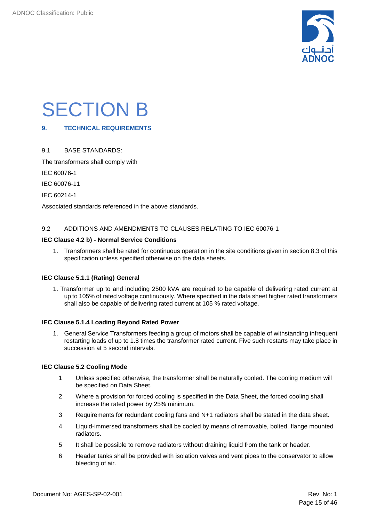

### <span id="page-14-0"></span>SECTION B

#### <span id="page-14-1"></span>**9. TECHNICAL REQUIREMENTS**

#### <span id="page-14-2"></span>9.1 BASE STANDARDS:

The transformers shall comply with

IEC 60076-1

IEC 60076-11

IEC 60214-1

Associated standards referenced in the above standards.

#### <span id="page-14-3"></span>9.2 ADDITIONS AND AMENDMENTS TO CLAUSES RELATING TO IEC 60076-1

#### **IEC Clause 4.2 b) - Normal Service Conditions**

1. Transformers shall be rated for continuous operation in the site conditions given in section 8.3 of this specification unless specified otherwise on the data sheets.

#### **IEC Clause 5.1.1 (Rating) General**

1. Transformer up to and including 2500 kVA are required to be capable of delivering rated current at up to 105% of rated voltage continuously. Where specified in the data sheet higher rated transformers shall also be capable of delivering rated current at 105 % rated voltage.

#### **IEC Clause 5.1.4 Loading Beyond Rated Power**

1. General Service Transformers feeding a group of motors shall be capable of withstanding infrequent restarting loads of up to 1.8 times the transformer rated current. Five such restarts may take place in succession at 5 second intervals.

#### **IEC Clause 5.2 Cooling Mode**

- 1 Unless specified otherwise, the transformer shall be naturally cooled. The cooling medium will be specified on Data Sheet.
- 2 Where a provision for forced cooling is specified in the Data Sheet, the forced cooling shall increase the rated power by 25% minimum.
- 3 Requirements for redundant cooling fans and N+1 radiators shall be stated in the data sheet.
- 4 Liquid-immersed transformers shall be cooled by means of removable, bolted, flange mounted radiators.
- 5 It shall be possible to remove radiators without draining liquid from the tank or header.
- 6 Header tanks shall be provided with isolation valves and vent pipes to the conservator to allow bleeding of air.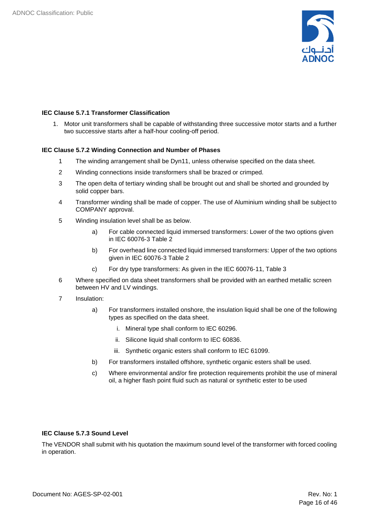

#### **IEC Clause 5.7.1 Transformer Classification**

1. Motor unit transformers shall be capable of withstanding three successive motor starts and a further two successive starts after a half-hour cooling-off period.

#### **IEC Clause 5.7.2 Winding Connection and Number of Phases**

- 1 The winding arrangement shall be Dyn11, unless otherwise specified on the data sheet.
- 2 Winding connections inside transformers shall be brazed or crimped.
- 3 The open delta of tertiary winding shall be brought out and shall be shorted and grounded by solid copper bars.
- 4 Transformer winding shall be made of copper. The use of Aluminium winding shall be subject to COMPANY approval.
- 5 Winding insulation level shall be as below.
	- a) For cable connected liquid immersed transformers: Lower of the two options given in IEC 60076‑3 Table 2
	- b) For overhead line connected liquid immersed transformers: Upper of the two options given in IEC 60076‑3 Table 2
	- c) For dry type transformers: As given in the IEC 60076‑11, Table 3
- 6 Where specified on data sheet transformers shall be provided with an earthed metallic screen between HV and LV windings.
- 7 Insulation:
	- a) For transformers installed onshore, the insulation liquid shall be one of the following types as specified on the data sheet.
		- i. Mineral type shall conform to IEC 60296.
		- ii. Silicone liquid shall conform to IEC 60836.
		- iii. Synthetic organic esters shall conform to IEC 61099.
	- b) For transformers installed offshore, synthetic organic esters shall be used.
	- c) Where environmental and/or fire protection requirements prohibit the use of mineral oil, a higher flash point fluid such as natural or synthetic ester to be used

#### **IEC Clause 5.7.3 Sound Level**

The VENDOR shall submit with his quotation the maximum sound level of the transformer with forced cooling in operation.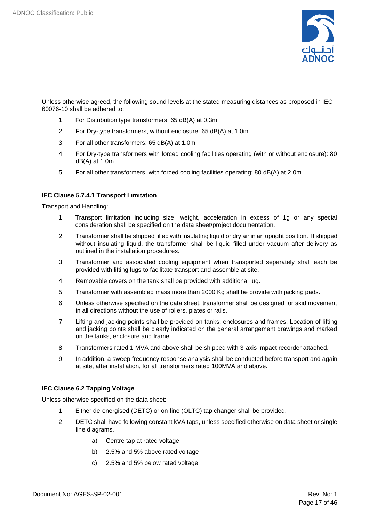

Unless otherwise agreed, the following sound levels at the stated measuring distances as proposed in IEC 60076-10 shall be adhered to:

- 1 For Distribution type transformers: 65 dB(A) at 0.3m
- 2 For Dry-type transformers, without enclosure: 65 dB(A) at 1.0m
- 3 For all other transformers: 65 dB(A) at 1.0m
- 4 For Dry-type transformers with forced cooling facilities operating (with or without enclosure): 80 dB(A) at 1.0m
- 5 For all other transformers, with forced cooling facilities operating: 80 dB(A) at 2.0m

#### **IEC Clause 5.7.4.1 Transport Limitation**

Transport and Handling:

- 1 Transport limitation including size, weight, acceleration in excess of 1g or any special consideration shall be specified on the data sheet/project documentation.
- 2 Transformer shall be shipped filled with insulating liquid or dry air in an upright position. If shipped without insulating liquid, the transformer shall be liquid filled under vacuum after delivery as outlined in the installation procedures.
- 3 Transformer and associated cooling equipment when transported separately shall each be provided with lifting lugs to facilitate transport and assemble at site.
- 4 Removable covers on the tank shall be provided with additional lug.
- 5 Transformer with assembled mass more than 2000 Kg shall be provide with jacking pads.
- 6 Unless otherwise specified on the data sheet, transformer shall be designed for skid movement in all directions without the use of rollers, plates or rails.
- 7 Lifting and jacking points shall be provided on tanks, enclosures and frames. Location of lifting and jacking points shall be clearly indicated on the general arrangement drawings and marked on the tanks, enclosure and frame.
- 8 Transformers rated 1 MVA and above shall be shipped with 3-axis impact recorder attached.
- 9 In addition, a sweep frequency response analysis shall be conducted before transport and again at site, after installation, for all transformers rated 100MVA and above.

#### **IEC Clause 6.2 Tapping Voltage**

Unless otherwise specified on the data sheet:

- 1 Either de-energised (DETC) or on-line (OLTC) tap changer shall be provided.
- 2 DETC shall have following constant kVA taps, unless specified otherwise on data sheet or single line diagrams.
	- a) Centre tap at rated voltage
	- b) 2.5% and 5% above rated voltage
	- c) 2.5% and 5% below rated voltage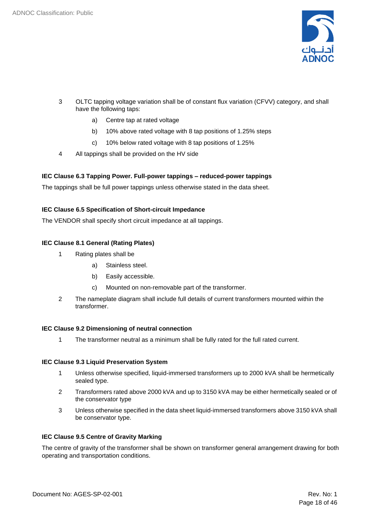

- 3 OLTC tapping voltage variation shall be of constant flux variation (CFVV) category, and shall have the following taps:
	- a) Centre tap at rated voltage
	- b) 10% above rated voltage with 8 tap positions of 1.25% steps
	- c) 10% below rated voltage with 8 tap positions of 1.25%
- 4 All tappings shall be provided on the HV side

#### **IEC Clause 6.3 Tapping Power. Full-power tappings – reduced-power tappings**

The tappings shall be full power tappings unless otherwise stated in the data sheet.

#### **IEC Clause 6.5 Specification of Short-circuit Impedance**

The VENDOR shall specify short circuit impedance at all tappings.

#### **IEC Clause 8.1 General (Rating Plates)**

- 1 Rating plates shall be
	- a) Stainless steel.
	- b) Easily accessible.
	- c) Mounted on non-removable part of the transformer.
- 2 The nameplate diagram shall include full details of current transformers mounted within the transformer.

#### **IEC Clause 9.2 Dimensioning of neutral connection**

1 The transformer neutral as a minimum shall be fully rated for the full rated current.

#### **IEC Clause 9.3 Liquid Preservation System**

- 1 Unless otherwise specified, liquid-immersed transformers up to 2000 kVA shall be hermetically sealed type.
- 2 Transformers rated above 2000 kVA and up to 3150 kVA may be either hermetically sealed or of the conservator type
- 3 Unless otherwise specified in the data sheet liquid-immersed transformers above 3150 kVA shall be conservator type.

#### **IEC Clause 9.5 Centre of Gravity Marking**

The centre of gravity of the transformer shall be shown on transformer general arrangement drawing for both operating and transportation conditions.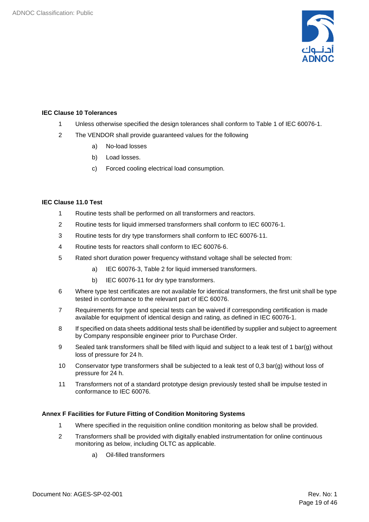

#### **IEC Clause 10 Tolerances**

- 1 Unless otherwise specified the design tolerances shall conform to Table 1 of IEC 60076-1.
- 2 The VENDOR shall provide guaranteed values for the following
	- a) No-load losses
	- b) Load losses.
	- c) Forced cooling electrical load consumption.

#### **IEC Clause 11.0 Test**

- 1 Routine tests shall be performed on all transformers and reactors.
- 2 Routine tests for liquid immersed transformers shall conform to IEC 60076‑1.
- 3 Routine tests for dry type transformers shall conform to IEC 60076‑11.
- 4 Routine tests for reactors shall conform to IEC 60076‑6.
- 5 Rated short duration power frequency withstand voltage shall be selected from:
	- a) IEC 60076‑3, Table 2 for liquid immersed transformers.
	- b) IEC 60076-11 for dry type transformers.
- 6 Where type test certificates are not available for identical transformers, the first unit shall be type tested in conformance to the relevant part of IEC 60076.
- 7 Requirements for type and special tests can be waived if corresponding certification is made available for equipment of identical design and rating, as defined in IEC 60076-1.
- 8 If specified on data sheets additional tests shall be identified by supplier and subject to agreement by Company responsible engineer prior to Purchase Order.
- 9 Sealed tank transformers shall be filled with liquid and subject to a leak test of 1 bar(g) without loss of pressure for 24 h.
- 10 Conservator type transformers shall be subjected to a leak test of 0,3 bar(g) without loss of pressure for 24 h.
- 11 Transformers not of a standard prototype design previously tested shall be impulse tested in conformance to IEC 60076.

#### **Annex F Facilities for Future Fitting of Condition Monitoring Systems**

- 1 Where specified in the requisition online condition monitoring as below shall be provided.
- 2 Transformers shall be provided with digitally enabled instrumentation for online continuous monitoring as below, including OLTC as applicable.
	- a) Oil-filled transformers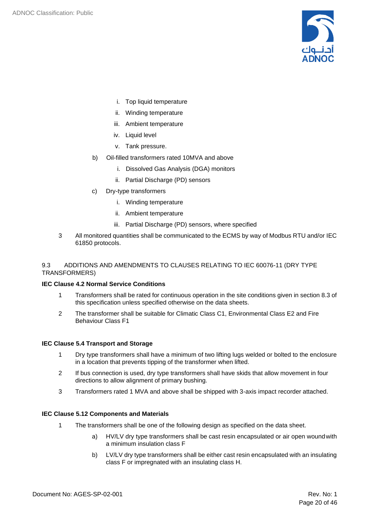

- i. Top liquid temperature
- ii. Winding temperature
- iii. Ambient temperature
- iv. Liquid level
- v. Tank pressure.
- b) Oil-filled transformers rated 10MVA and above
	- i. Dissolved Gas Analysis (DGA) monitors
	- ii. Partial Discharge (PD) sensors
- c) Dry-type transformers
	- i. Winding temperature
	- ii. Ambient temperature
	- iii. Partial Discharge (PD) sensors, where specified
- 3 All monitored quantities shall be communicated to the ECMS by way of Modbus RTU and/or IEC 61850 protocols.

#### <span id="page-19-0"></span>9.3 ADDITIONS AND AMENDMENTS TO CLAUSES RELATING TO IEC 60076-11 (DRY TYPE TRANSFORMERS)

#### **IEC Clause 4.2 Normal Service Conditions**

- 1 Transformers shall be rated for continuous operation in the site conditions given in section 8.3 of this specification unless specified otherwise on the data sheets.
- 2 The transformer shall be suitable for Climatic Class C1, Environmental Class E2 and Fire Behaviour Class F1

#### **IEC Clause 5.4 Transport and Storage**

- 1 Dry type transformers shall have a minimum of two lifting lugs welded or bolted to the enclosure in a location that prevents tipping of the transformer when lifted.
- 2 If bus connection is used, dry type transformers shall have skids that allow movement in four directions to allow alignment of primary bushing.
- 3 Transformers rated 1 MVA and above shall be shipped with 3-axis impact recorder attached.

#### **IEC Clause 5.12 Components and Materials**

- 1 The transformers shall be one of the following design as specified on the data sheet.
	- a) HV/LV dry type transformers shall be cast resin encapsulated or air open woundwith a minimum insulation class F
	- b) LV/LV dry type transformers shall be either cast resin encapsulated with an insulating class F or impregnated with an insulating class H.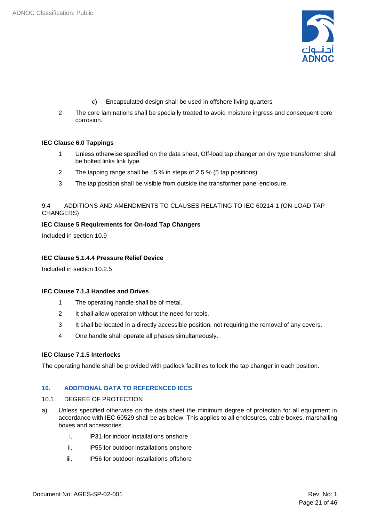

- c) Encapsulated design shall be used in offshore living quarters
- 2 The core laminations shall be specially treated to avoid moisture ingress and consequent core corrosion.

#### **IEC Clause 6.0 Tappings**

- 1 Unless otherwise specified on the data sheet, Off-load tap changer on dry type transformer shall be bolted links link type.
- 2 The tapping range shall be  $\pm 5$  % in steps of 2.5 % (5 tap positions).
- 3 The tap position shall be visible from outside the transformer panel enclosure.

#### <span id="page-20-0"></span>9.4 ADDITIONS AND AMENDMENTS TO CLAUSES RELATING TO IEC 60214-1 (ON-LOAD TAP CHANGERS)

#### **IEC Clause 5 Requirements for On-load Tap Changers**

Included in section 10.9

#### **IEC Clause 5.1.4.4 Pressure Relief Device**

Included in section 10.2.5

#### **IEC Clause 7.1.3 Handles and Drives**

- 1 The operating handle shall be of metal.
- 2 It shall allow operation without the need for tools.
- 3 It shall be located in a directly accessible position, not requiring the removal of any covers.
- 4 One handle shall operate all phases simultaneously.

#### **IEC Clause 7.1.5 Interlocks**

The operating handle shall be provided with padlock facilities to lock the tap changer in each position.

#### <span id="page-20-1"></span>**10. ADDITIONAL DATA TO REFERENCED IECS**

#### <span id="page-20-2"></span>10.1 DEGREE OF PROTECTION

- a) Unless specified otherwise on the data sheet the minimum degree of protection for all equipment in accordance with IEC 60529 shall be as below. This applies to all enclosures, cable boxes, marshalling boxes and accessories.
	- i. IP31 for indoor installations onshore
	- ii. IP55 for outdoor installations onshore
	- iii. IP56 for outdoor installations offshore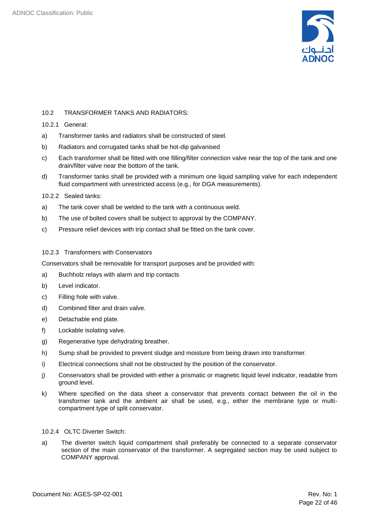

#### <span id="page-21-0"></span>10.2 TRANSFORMER TANKS AND RADIATORS:

#### 10.2.1 General:

- a) Transformer tanks and radiators shall be constructed of steel.
- b) Radiators and corrugated tanks shall be hot-dip galvanised
- c) Each transformer shall be fitted with one filling/filter connection valve near the top of the tank and one drain/filter valve near the bottom of the tank.
- d) Transformer tanks shall be provided with a minimum one liquid sampling valve for each independent fluid compartment with unrestricted access (e.g., for DGA measurements).

#### 10.2.2 Sealed tanks:

- a) The tank cover shall be welded to the tank with a continuous weld.
- b) The use of bolted covers shall be subject to approval by the COMPANY.
- c) Pressure relief devices with trip contact shall be fitted on the tank cover.

#### 10.2.3 Transformers with Conservators

Conservators shall be removable for transport purposes and be provided with:

- a) Buchholz relays with alarm and trip contacts
- b) Level indicator.
- c) Filling hole with valve.
- d) Combined filter and drain valve.
- e) Detachable end plate.
- f) Lockable isolating valve.
- g) Regenerative type dehydrating breather.
- h) Sump shall be provided to prevent sludge and moisture from being drawn into transformer.
- i) Electrical connections shall not be obstructed by the position of the conservator.
- j) Conservators shall be provided with either a prismatic or magnetic liquid level indicator, readable from ground level.
- k) Where specified on the data sheet a conservator that prevents contact between the oil in the transformer tank and the ambient air shall be used, e.g., either the membrane type or multicompartment type of split conservator.

#### 10.2.4 OLTC Diverter Switch:

a) The diverter switch liquid compartment shall preferably be connected to a separate conservator section of the main conservator of the transformer. A segregated section may be used subject to COMPANY approval.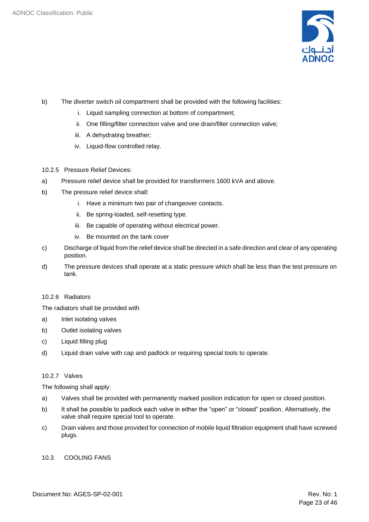

- b) The diverter switch oil compartment shall be provided with the following facilities:
	- i. Liquid sampling connection at bottom of compartment;
	- ii. One filling/filter connection valve and one drain/filter connection valve;
	- iii. A dehydrating breather;
	- iv. Liquid-flow controlled relay.
- 10.2.5 Pressure Relief Devices:
- a) Pressure relief device shall be provided for transformers 1600 kVA and above.
- b) The pressure relief device shall:
	- i. Have a minimum two pair of changeover contacts.
	- ii. Be spring-loaded, self-resetting type.
	- iii. Be capable of operating without electrical power.
	- iv. Be mounted on the tank cover
- c) Discharge of liquid from the relief device shall be directed in a safe direction and clear of any operating position.
- d) The pressure devices shall operate at a static pressure which shall be less than the test pressure on tank.

#### 10.2.6 Radiators

The radiators shall be provided with

- a) Inlet isolating valves
- b) Outlet isolating valves
- c) Liquid filling plug
- d) Liquid drain valve with cap and padlock or requiring special tools to operate.

#### 10.2.7 Valves

The following shall apply:

- a) Valves shall be provided with permanently marked position indication for open or closed position.
- b) It shall be possible to padlock each valve in either the "open" or "closed" position. Alternatively, the valve shall require special tool to operate.
- c) Drain valves and those provided for connection of mobile liquid filtration equipment shall have screwed plugs.

#### <span id="page-22-0"></span>10.3 COOLING FANS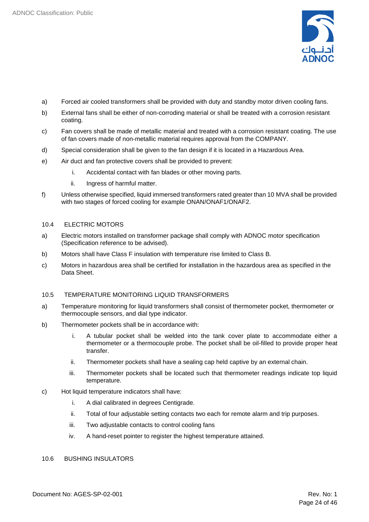

- a) Forced air cooled transformers shall be provided with duty and standby motor driven cooling fans.
- b) External fans shall be either of non-corroding material or shall be treated with a corrosion resistant coating.
- c) Fan covers shall be made of metallic material and treated with a corrosion resistant coating. The use of fan covers made of non-metallic material requires approval from the COMPANY.
- d) Special consideration shall be given to the fan design if it is located in a Hazardous Area.
- e) Air duct and fan protective covers shall be provided to prevent:
	- i. Accidental contact with fan blades or other moving parts.
	- ii. Ingress of harmful matter.
- f) Unless otherwise specified, liquid immersed transformers rated greater than 10 MVA shall be provided with two stages of forced cooling for example ONAN/ONAF1/ONAF2.

#### <span id="page-23-0"></span>10.4 ELECTRIC MOTORS

- a) Electric motors installed on transformer package shall comply with ADNOC motor specification (Specification reference to be advised).
- b) Motors shall have Class F insulation with temperature rise limited to Class B.
- c) Motors in hazardous area shall be certified for installation in the hazardous area as specified in the Data Sheet.

#### <span id="page-23-1"></span>10.5 TEMPERATURE MONITORING LIQUID TRANSFORMERS

- a) Temperature monitoring for liquid transformers shall consist of thermometer pocket, thermometer or thermocouple sensors, and dial type indicator.
- b) Thermometer pockets shall be in accordance with:
	- i. A tubular pocket shall be welded into the tank cover plate to accommodate either a thermometer or a thermocouple probe. The pocket shall be oil-filled to provide proper heat transfer.
	- ii. Thermometer pockets shall have a sealing cap held captive by an external chain.
	- iii. Thermometer pockets shall be located such that thermometer readings indicate top liquid temperature.
- c) Hot liquid temperature indicators shall have:
	- i. A dial calibrated in degrees Centigrade.
	- ii. Total of four adjustable setting contacts two each for remote alarm and trip purposes.
	- iii. Two adjustable contacts to control cooling fans
	- iv. A hand-reset pointer to register the highest temperature attained.

#### <span id="page-23-2"></span>10.6 BUSHING INSULATORS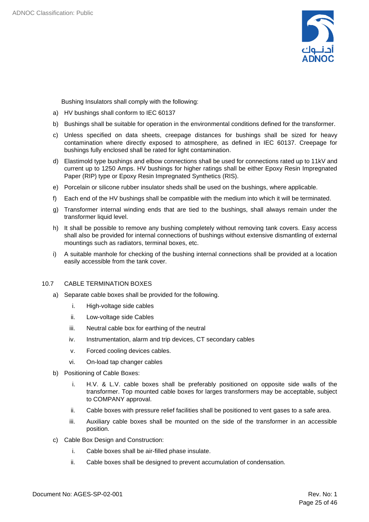

Bushing Insulators shall comply with the following:

- a) HV bushings shall conform to IEC 60137
- b) Bushings shall be suitable for operation in the environmental conditions defined for the transformer.
- c) Unless specified on data sheets, creepage distances for bushings shall be sized for heavy contamination where directly exposed to atmosphere, as defined in IEC 60137. Creepage for bushings fully enclosed shall be rated for light contamination.
- d) Elastimold type bushings and elbow connections shall be used for connections rated up to 11kV and current up to 1250 Amps. HV bushings for higher ratings shall be either Epoxy Resin Impregnated Paper (RIP) type or Epoxy Resin Impregnated Synthetics (RIS).
- e) Porcelain or silicone rubber insulator sheds shall be used on the bushings, where applicable.
- f) Each end of the HV bushings shall be compatible with the medium into which it will be terminated.
- g) Transformer internal winding ends that are tied to the bushings, shall always remain under the transformer liquid level.
- h) It shall be possible to remove any bushing completely without removing tank covers. Easy access shall also be provided for internal connections of bushings without extensive dismantling of external mountings such as radiators, terminal boxes, etc.
- i) A suitable manhole for checking of the bushing internal connections shall be provided at a location easily accessible from the tank cover.

#### <span id="page-24-0"></span>10.7 CABLE TERMINATION BOXES

- a) Separate cable boxes shall be provided for the following.
	- i. High-voltage side cables
	- ii. Low-voltage side Cables
	- iii. Neutral cable box for earthing of the neutral
	- iv. Instrumentation, alarm and trip devices, CT secondary cables
	- v. Forced cooling devices cables.
	- vi. On-load tap changer cables
- b) Positioning of Cable Boxes:
	- i. H.V. & L.V. cable boxes shall be preferably positioned on opposite side walls of the transformer. Top mounted cable boxes for larges transformers may be acceptable, subject to COMPANY approval.
	- ii. Cable boxes with pressure relief facilities shall be positioned to vent gases to a safe area.
	- iii. Auxiliary cable boxes shall be mounted on the side of the transformer in an accessible position.
- c) Cable Box Design and Construction:
	- i. Cable boxes shall be air-filled phase insulate.
	- ii. Cable boxes shall be designed to prevent accumulation of condensation.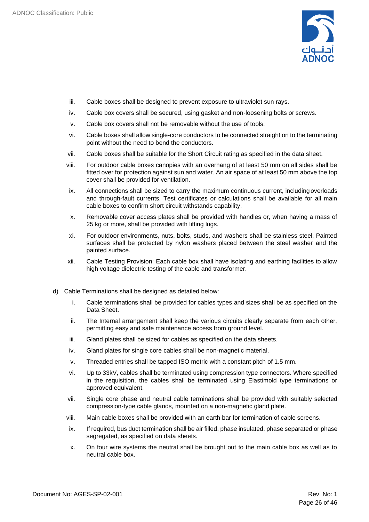

- iii. Cable boxes shall be designed to prevent exposure to ultraviolet sun rays.
- iv. Cable box covers shall be secured, using gasket and non-loosening bolts or screws.
- v. Cable box covers shall not be removable without the use of tools.
- vi. Cable boxes shall allow single-core conductors to be connected straight on to the terminating point without the need to bend the conductors.
- vii. Cable boxes shall be suitable for the Short Circuit rating as specified in the data sheet.
- viii. For outdoor cable boxes canopies with an overhang of at least 50 mm on all sides shall be fitted over for protection against sun and water. An air space of at least 50 mm above the top cover shall be provided for ventilation.
- ix. All connections shall be sized to carry the maximum continuous current, includingoverloads and through-fault currents. Test certificates or calculations shall be available for all main cable boxes to confirm short circuit withstands capability.
- x. Removable cover access plates shall be provided with handles or, when having a mass of 25 kg or more, shall be provided with lifting lugs.
- xi. For outdoor environments, nuts, bolts, studs, and washers shall be stainless steel. Painted surfaces shall be protected by nylon washers placed between the steel washer and the painted surface.
- xii. Cable Testing Provision: Each cable box shall have isolating and earthing facilities to allow high voltage dielectric testing of the cable and transformer.
- d) Cable Terminations shall be designed as detailed below:
	- i. Cable terminations shall be provided for cables types and sizes shall be as specified on the Data Sheet.
	- ii. The Internal arrangement shall keep the various circuits clearly separate from each other, permitting easy and safe maintenance access from ground level.
	- iii. Gland plates shall be sized for cables as specified on the data sheets.
	- iv. Gland plates for single core cables shall be non-magnetic material.
	- v. Threaded entries shall be tapped ISO metric with a constant pitch of 1.5 mm.
	- vi. Up to 33kV, cables shall be terminated using compression type connectors. Where specified in the requisition, the cables shall be terminated using Elastimold type terminations or approved equivalent.
	- vii. Single core phase and neutral cable terminations shall be provided with suitably selected compression-type cable glands, mounted on a non-magnetic gland plate.
	- viii. Main cable boxes shall be provided with an earth bar for termination of cable screens.
	- ix. If required, bus duct termination shall be air filled, phase insulated, phase separated or phase segregated, as specified on data sheets.
	- x. On four wire systems the neutral shall be brought out to the main cable box as well as to neutral cable box.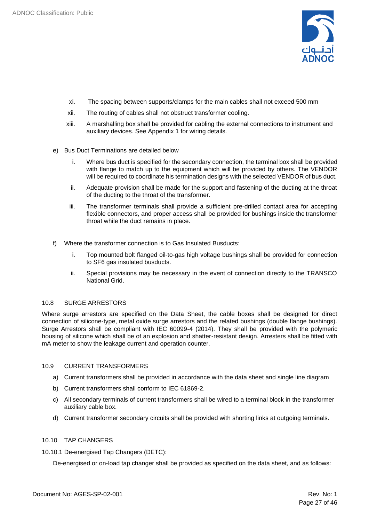

- xi. The spacing between supports/clamps for the main cables shall not exceed 500 mm
- xii. The routing of cables shall not obstruct transformer cooling.
- xiii. A marshalling box shall be provided for cabling the external connections to instrument and auxiliary devices. See Appendix 1 for wiring details.
- e) Bus Duct Terminations are detailed below
	- i. Where bus duct is specified for the secondary connection, the terminal box shall be provided with flange to match up to the equipment which will be provided by others. The VENDOR will be required to coordinate his termination designs with the selected VENDOR of bus duct.
	- ii. Adequate provision shall be made for the support and fastening of the ducting at the throat of the ducting to the throat of the transformer.
	- iii. The transformer terminals shall provide a sufficient pre-drilled contact area for accepting flexible connectors, and proper access shall be provided for bushings inside the transformer throat while the duct remains in place.
- f) Where the transformer connection is to Gas Insulated Busducts:
	- i. Top mounted bolt flanged oil-to-gas high voltage bushings shall be provided for connection to SF6 gas insulated busducts.
	- ii. Special provisions may be necessary in the event of connection directly to the TRANSCO National Grid.

#### <span id="page-26-0"></span>10.8 SURGE ARRESTORS

Where surge arrestors are specified on the Data Sheet, the cable boxes shall be designed for direct connection of silicone-type, metal oxide surge arrestors and the related bushings (double flange bushings). Surge Arrestors shall be compliant with IEC 60099-4 (2014). They shall be provided with the polymeric housing of silicone which shall be of an explosion and shatter-resistant design. Arresters shall be fitted with mA meter to show the leakage current and operation counter.

#### <span id="page-26-1"></span>10.9 CURRENT TRANSFORMERS

- a) Current transformers shall be provided in accordance with the data sheet and single line diagram
- b) Current transformers shall conform to IEC 61869-2.
- c) All secondary terminals of current transformers shall be wired to a terminal block in the transformer auxiliary cable box.
- d) Current transformer secondary circuits shall be provided with shorting links at outgoing terminals.

#### <span id="page-26-2"></span>10.10 TAP CHANGERS

10.10.1 De-energised Tap Changers (DETC):

De-energised or on-load tap changer shall be provided as specified on the data sheet, and as follows: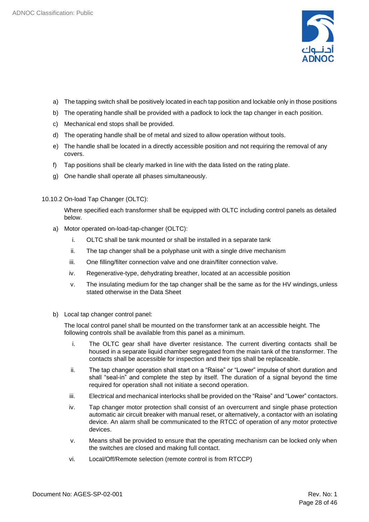

- a) The tapping switch shall be positively located in each tap position and lockable only in those positions
- b) The operating handle shall be provided with a padlock to lock the tap changer in each position.
- c) Mechanical end stops shall be provided.
- d) The operating handle shall be of metal and sized to allow operation without tools.
- e) The handle shall be located in a directly accessible position and not requiring the removal of any covers.
- f) Tap positions shall be clearly marked in line with the data listed on the rating plate.
- g) One handle shall operate all phases simultaneously.

#### 10.10.2 On-load Tap Changer (OLTC):

Where specified each transformer shall be equipped with OLTC including control panels as detailed below.

- a) Motor operated on-load-tap-changer (OLTC):
	- i. OLTC shall be tank mounted or shall be installed in a separate tank
	- ii. The tap changer shall be a polyphase unit with a single drive mechanism
	- iii. One filling/filter connection valve and one drain/filter connection valve.
	- iv. Regenerative-type, dehydrating breather, located at an accessible position
	- v. The insulating medium for the tap changer shall be the same as for the HV windings, unless stated otherwise in the Data Sheet
- b) Local tap changer control panel:

The local control panel shall be mounted on the transformer tank at an accessible height. The following controls shall be available from this panel as a minimum.

- i. The OLTC gear shall have diverter resistance. The current diverting contacts shall be housed in a separate liquid chamber segregated from the main tank of the transformer. The contacts shall be accessible for inspection and their tips shall be replaceable.
- ii. The tap changer operation shall start on a "Raise" or "Lower" impulse of short duration and shall "seal-in" and complete the step by itself. The duration of a signal beyond the time required for operation shall not initiate a second operation.
- iii. Electrical and mechanical interlocks shall be provided on the "Raise" and "Lower" contactors.
- iv. Tap changer motor protection shall consist of an overcurrent and single phase protection automatic air circuit breaker with manual reset, or alternatively, a contactor with an isolating device. An alarm shall be communicated to the RTCC of operation of any motor protective devices.
- v. Means shall be provided to ensure that the operating mechanism can be locked only when the switches are closed and making full contact.
- vi. Local/Off/Remote selection (remote control is from RTCCP)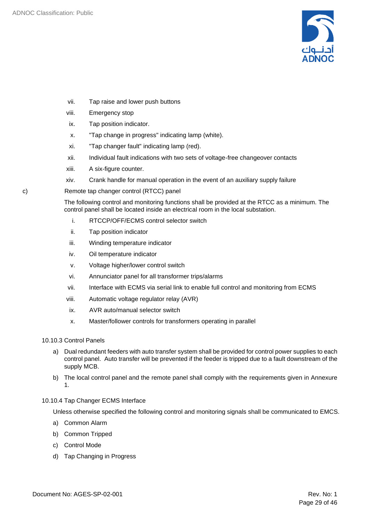

- vii. Tap raise and lower push buttons
- viii. Emergency stop
- ix. Tap position indicator.
- x. "Tap change in progress" indicating lamp (white).
- xi. "Tap changer fault" indicating lamp (red).
- xii. Individual fault indications with two sets of voltage-free changeover contacts
- xiii. A six-figure counter.
- xiv. Crank handle for manual operation in the event of an auxiliary supply failure
- c) Remote tap changer control (RTCC) panel

The following control and monitoring functions shall be provided at the RTCC as a minimum. The control panel shall be located inside an electrical room in the local substation.

- i. RTCCP/OFF/ECMS control selector switch
- ii. Tap position indicator
- iii. Winding temperature indicator
- iv. Oil temperature indicator
- v. Voltage higher/lower control switch
- vi. Annunciator panel for all transformer trips/alarms
- vii. Interface with ECMS via serial link to enable full control and monitoring from ECMS
- viii. Automatic voltage regulator relay (AVR)
- ix. AVR auto/manual selector switch
- x. Master/follower controls for transformers operating in parallel
- 10.10.3 Control Panels
	- a) Dual redundant feeders with auto transfer system shall be provided for control power supplies to each control panel. Auto transfer will be prevented if the feeder is tripped due to a fault downstream of the supply MCB.
	- b) The local control panel and the remote panel shall comply with the requirements given in Annexure 1.

#### 10.10.4 Tap Changer ECMS Interface

Unless otherwise specified the following control and monitoring signals shall be communicated to EMCS.

- a) Common Alarm
- b) Common Tripped
- c) Control Mode
- d) Tap Changing in Progress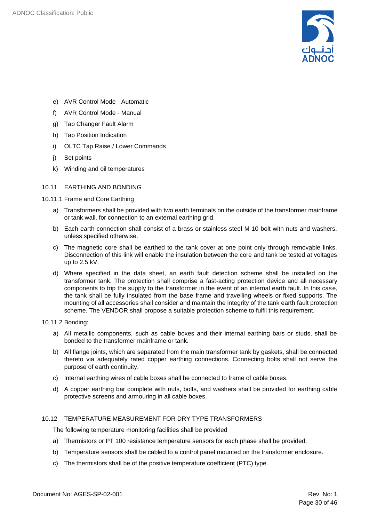

- e) AVR Control Mode Automatic
- f) AVR Control Mode Manual
- g) Tap Changer Fault Alarm
- h) Tap Position Indication
- i) OLTC Tap Raise / Lower Commands
- j) Set points
- k) Winding and oil temperatures

#### <span id="page-29-0"></span>10.11 EARTHING AND BONDING

- 10.11.1 Frame and Core Earthing
	- a) Transformers shall be provided with two earth terminals on the outside of the transformer mainframe or tank wall, for connection to an external earthing grid.
	- b) Each earth connection shall consist of a brass or stainless steel M 10 bolt with nuts and washers, unless specified otherwise.
	- c) The magnetic core shall be earthed to the tank cover at one point only through removable links. Disconnection of this link will enable the insulation between the core and tank be tested at voltages up to 2.5 kV.
	- d) Where specified in the data sheet, an earth fault detection scheme shall be installed on the transformer tank. The protection shall comprise a fast-acting protection device and all necessary components to trip the supply to the transformer in the event of an internal earth fault. In this case, the tank shall be fully insulated from the base frame and travelling wheels or fixed supports. The mounting of all accessories shall consider and maintain the integrity of the tank earth fault protection scheme. The VENDOR shall propose a suitable protection scheme to fulfil this requirement.

#### 10.11.2 Bonding:

- a) All metallic components, such as cable boxes and their internal earthing bars or studs, shall be bonded to the transformer mainframe or tank.
- b) All flange joints, which are separated from the main transformer tank by gaskets, shall be connected thereto via adequately rated copper earthing connections. Connecting bolts shall not serve the purpose of earth continuity.
- c) Internal earthing wires of cable boxes shall be connected to frame of cable boxes.
- d) A copper earthing bar complete with nuts, bolts, and washers shall be provided for earthing cable protective screens and armouring in all cable boxes.

#### <span id="page-29-1"></span>10.12 TEMPERATURE MEASUREMENT FOR DRY TYPE TRANSFORMERS

The following temperature monitoring facilities shall be provided

- a) Thermistors or PT 100 resistance temperature sensors for each phase shall be provided.
- b) Temperature sensors shall be cabled to a control panel mounted on the transformer enclosure.
- c) The thermistors shall be of the positive temperature coefficient (PTC) type.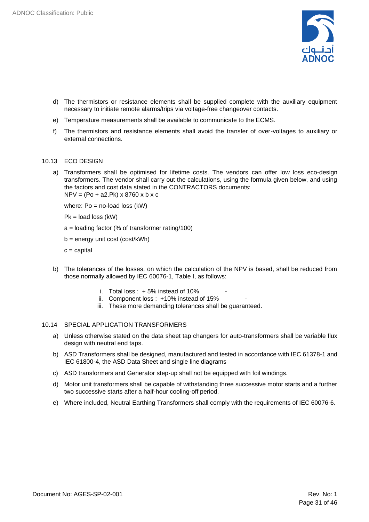

- d) The thermistors or resistance elements shall be supplied complete with the auxiliary equipment necessary to initiate remote alarms/trips via voltage-free changeover contacts.
- e) Temperature measurements shall be available to communicate to the ECMS.
- f) The thermistors and resistance elements shall avoid the transfer of over-voltages to auxiliary or external connections.

#### <span id="page-30-0"></span>10.13 ECO DESIGN

a) Transformers shall be optimised for lifetime costs. The vendors can offer low loss eco-design transformers. The vendor shall carry out the calculations, using the formula given below, and using the factors and cost data stated in the CONTRACTORS documents: NPV = (Po + a2.Pk) x 8760 x b x c

where:  $Po = no$ -load loss (kW)

 $Pk = load loss (kW)$ 

 $a =$ loading factor (% of transformer rating/100)

b = energy unit cost (cost/kWh)

 $c =$  capital

- b) The tolerances of the losses, on which the calculation of the NPV is based, shall be reduced from those normally allowed by IEC 60076-1, Table I, as follows:
	- i. Total loss:  $+5\%$  instead of 10%
	- ii. Component loss :  $+10\%$  instead of 15%
	- iii. These more demanding tolerances shall be guaranteed.

#### <span id="page-30-1"></span>10.14 SPECIAL APPLICATION TRANSFORMERS

- a) Unless otherwise stated on the data sheet tap changers for auto-transformers shall be variable flux design with neutral end taps.
- b) ASD Transformers shall be designed, manufactured and tested in accordance with IEC 61378-1 and IEC 61800-4, the ASD Data Sheet and single line diagrams
- c) ASD transformers and Generator step-up shall not be equipped with foil windings.
- d) Motor unit transformers shall be capable of withstanding three successive motor starts and a further two successive starts after a half-hour cooling-off period.
- e) Where included, Neutral Earthing Transformers shall comply with the requirements of IEC 60076-6.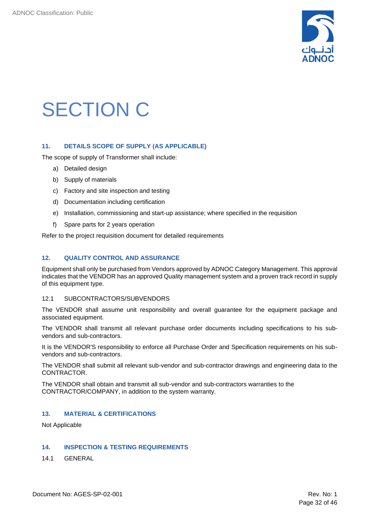

## <span id="page-31-0"></span>SECTION C

#### <span id="page-31-1"></span>**11. DETAILS SCOPE OF SUPPLY (AS APPLICABLE)**

The scope of supply of Transformer shall include:

- a) Detailed design
- b) Supply of materials
- c) Factory and site inspection and testing
- d) Documentation including certification
- e) Installation, commissioning and start-up assistance; where specified in the requisition
- f) Spare parts for 2 years operation

Refer to the project requisition document for detailed requirements

#### <span id="page-31-2"></span>**12. QUALITY CONTROL AND ASSURANCE**

Equipment shall only be purchased from Vendors approved by ADNOC Category Management. This approval indicates that the VENDOR has an approved Quality management system and a proven track record in supply of this equipment type.

#### <span id="page-31-3"></span>12.1 SUBCONTRACTORS/SUBVENDORS

The VENDOR shall assume unit responsibility and overall guarantee for the equipment package and associated equipment.

The VENDOR shall transmit all relevant purchase order documents including specifications to his subvendors and sub-contractors.

It is the VENDOR'S responsibility to enforce all Purchase Order and Specification requirements on his subvendors and sub-contractors.

The VENDOR shall submit all relevant sub-vendor and sub-contractor drawings and engineering data to the CONTRACTOR.

The VENDOR shall obtain and transmit all sub-vendor and sub-contractors warranties to the CONTRACTOR/COMPANY, in addition to the system warranty.

#### <span id="page-31-4"></span>**13. MATERIAL & CERTIFICATIONS**

Not Applicable

#### <span id="page-31-5"></span>**14. INSPECTION & TESTING REQUIREMENTS**

<span id="page-31-6"></span>14.1 GENERAL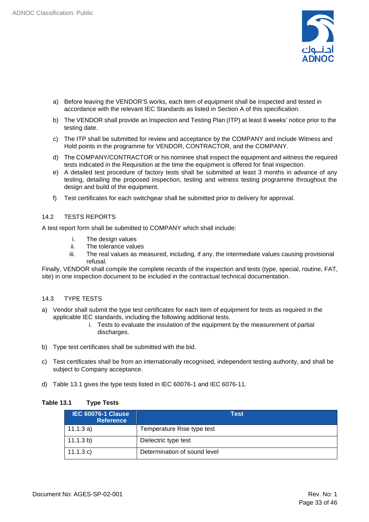

- a) Before leaving the VENDOR'S works, each item of equipment shall be inspected and tested in accordance with the relevant IEC Standards as listed in Section A of this specification.
- b) The VENDOR shall provide an Inspection and Testing Plan (ITP) at least 8 weeks' notice prior to the testing date.
- c) The ITP shall be submitted for review and acceptance by the COMPANY and include Witness and Hold points in the programme for VENDOR, CONTRACTOR, and the COMPANY.
- d) The COMPANY/CONTRACTOR or his nominee shall inspect the equipment and witness the required tests indicated in the Requisition at the time the equipment is offered for final inspection.
- e) A detailed test procedure of factory tests shall be submitted at least 3 months in advance of any testing, detailing the proposed inspection, testing and witness testing programme throughout the design and build of the equipment.
- f) Test certificates for each switchgear shall be submitted prior to delivery for approval.

#### <span id="page-32-0"></span>14.2 TESTS REPORTS

A test report form shall be submitted to COMPANY which shall include:

- i. The design values
- ii. The tolerance values
- iii. The real values as measured, including, if any, the intermediate values causing provisional refusal.

Finally, VENDOR shall compile the complete records of the inspection and tests (type, special, routine, FAT, site) in one inspection document to be included in the contractual technical documentation.

#### <span id="page-32-1"></span>14.3 TYPE TESTS

- a) Vendor shall submit the type test certificates for each item of equipment for tests as required in the applicable IEC standards, including the following additional tests.
	- i. Tests to evaluate the insulation of the equipment by the measurement of partial discharges.
- b) Type test certificates shall be submitted with the bid.
- c) Test certificates shall be from an internationally recognised, independent testing authority, and shall be subject to Company acceptance.
- d) Table 13.1 gives the type tests listed in IEC 60076-1 and IEC 6076-11.

#### **Table 13.1 Type Tests**

| <b>IEC 60076-1 Clause</b><br><b>Reference</b> | <b>Test</b>                  |
|-----------------------------------------------|------------------------------|
| 11.1.3a)                                      | Temperature Rise type test   |
| 11.1.3 b)                                     | Dielectric type test         |
| 11.1.3 c)                                     | Determination of sound level |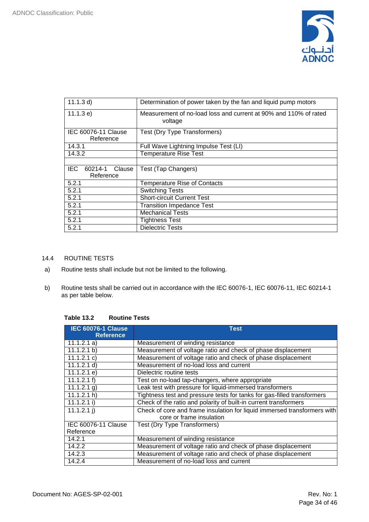

| 11.1.3 d)              | Determination of power taken by the fan and liquid pump motors   |  |  |  |
|------------------------|------------------------------------------------------------------|--|--|--|
|                        |                                                                  |  |  |  |
| 11.1.3 e)              | Measurement of no-load loss and current at 90% and 110% of rated |  |  |  |
|                        | voltage                                                          |  |  |  |
| IEC 60076-11 Clause    | Test (Dry Type Transformers)                                     |  |  |  |
| Reference              |                                                                  |  |  |  |
| 14.3.1                 | Full Wave Lightning Impulse Test (LI)                            |  |  |  |
| 14.3.2                 | <b>Temperature Rise Test</b>                                     |  |  |  |
|                        |                                                                  |  |  |  |
| IEC.<br>60214-1 Clause | Test (Tap Changers)                                              |  |  |  |
| Reference              |                                                                  |  |  |  |
| 5.2.1                  | <b>Temperature Rise of Contacts</b>                              |  |  |  |
| 5.2.1                  | <b>Switching Tests</b>                                           |  |  |  |
| 5.2.1                  | <b>Short-circuit Current Test</b>                                |  |  |  |
| 5.2.1                  | <b>Transition Impedance Test</b>                                 |  |  |  |
| 5.2.1                  | <b>Mechanical Tests</b>                                          |  |  |  |
| 5.2.1                  | <b>Tightness Test</b>                                            |  |  |  |
| 5.2.1                  | <b>Dielectric Tests</b>                                          |  |  |  |

#### <span id="page-33-0"></span>14.4 ROUTINE TESTS

- a) Routine tests shall include but not be limited to the following.
- b) Routine tests shall be carried out in accordance with the IEC 60076-1, IEC 60076-11, IEC 60214-1 as per table below.

| <b>Table 13.2</b> | <b>Routine Tests</b> |
|-------------------|----------------------|
|-------------------|----------------------|

| <b>IEC 60076-1 Clause</b><br><b>Reference</b> | <b>Test</b>                                                                                          |
|-----------------------------------------------|------------------------------------------------------------------------------------------------------|
| 11.1.2.1 a)                                   | Measurement of winding resistance                                                                    |
| 11.1.2.1 b)                                   | Measurement of voltage ratio and check of phase displacement                                         |
| 11.1.2.1 c)                                   | Measurement of voltage ratio and check of phase displacement                                         |
| 11.1.2.1 d)                                   | Measurement of no-load loss and current                                                              |
| 11.1.2.1 e                                    | Dielectric routine tests                                                                             |
| 11.1.2.1 f                                    | Test on no-load tap-changers, where appropriate                                                      |
| $11.1.2.1$ g)                                 | Leak test with pressure for liquid-immersed transformers                                             |
| 11.1.2.1 h                                    | Tightness test and pressure tests for tanks for gas-filled transformers                              |
| 11.1.2.1 i)                                   | Check of the ratio and polarity of built-in current transformers                                     |
| 11.1.2.1 j)                                   | Check of core and frame insulation for liquid immersed transformers with<br>core or frame insulation |
| IEC 60076-11 Clause                           | Test (Dry Type Transformers)                                                                         |
| Reference                                     |                                                                                                      |
| 14.2.1                                        | Measurement of winding resistance                                                                    |
| 14.2.2                                        | Measurement of voltage ratio and check of phase displacement                                         |
| 14.2.3                                        | Measurement of voltage ratio and check of phase displacement                                         |
| 14.2.4                                        | Measurement of no-load loss and current                                                              |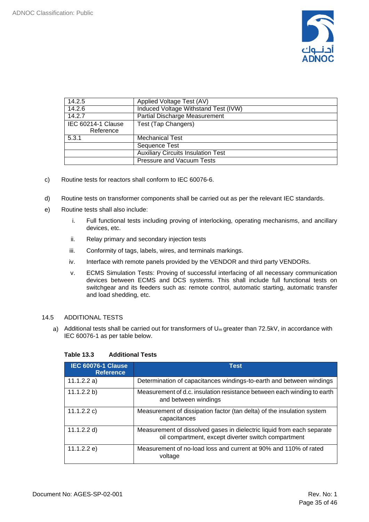

| 14.2.5                                 | Applied Voltage Test (AV)                 |
|----------------------------------------|-------------------------------------------|
| 14.2.6                                 | Induced Voltage Withstand Test (IVW)      |
| 14.2.7                                 | <b>Partial Discharge Measurement</b>      |
| <b>IEC 60214-1 Clause</b><br>Reference | Test (Tap Changers)                       |
| 5.3.1                                  | <b>Mechanical Test</b>                    |
|                                        | Sequence Test                             |
|                                        | <b>Auxiliary Circuits Insulation Test</b> |
|                                        | <b>Pressure and Vacuum Tests</b>          |

- c) Routine tests for reactors shall conform to IEC 60076-6.
- d) Routine tests on transformer components shall be carried out as per the relevant IEC standards.
- e) Routine tests shall also include:
	- i. Full functional tests including proving of interlocking, operating mechanisms, and ancillary devices, etc.
	- ii. Relay primary and secondary injection tests
	- iii. Conformity of tags, labels, wires, and terminals markings.
	- iv. Interface with remote panels provided by the VENDOR and third party VENDORs.
	- v. ECMS Simulation Tests: Proving of successful interfacing of all necessary communication devices between ECMS and DCS systems. This shall include full functional tests on switchgear and its feeders such as: remote control, automatic starting, automatic transfer and load shedding, etc.

#### <span id="page-34-0"></span>14.5 ADDITIONAL TESTS

a) Additional tests shall be carried out for transformers of  $U_m$  greater than 72.5kV, in accordance with IEC 60076-1 as per table below.

| <b>IEC 60076-1 Clause</b><br><b>Reference</b> | <b>Test</b>                                                                                                                   |
|-----------------------------------------------|-------------------------------------------------------------------------------------------------------------------------------|
| 11.1.2.2 a)                                   | Determination of capacitances windings-to-earth and between windings                                                          |
| 11.1.2.2 b)                                   | Measurement of d.c. insulation resistance between each winding to earth<br>and between windings                               |
| 11.1.2.2 c)                                   | Measurement of dissipation factor (tan delta) of the insulation system<br>capacitances                                        |
| 11.1.2.2 d)                                   | Measurement of dissolved gases in dielectric liquid from each separate<br>oil compartment, except diverter switch compartment |
| 11.1.2.2 e)                                   | Measurement of no-load loss and current at 90% and 110% of rated<br>voltage                                                   |

#### **Table 13.3 Additional Tests**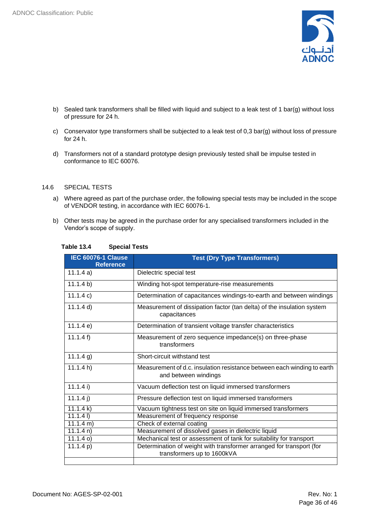

- b) Sealed tank transformers shall be filled with liquid and subject to a leak test of 1 bar(g) without loss of pressure for 24 h.
- c) Conservator type transformers shall be subjected to a leak test of 0,3 bar(g) without loss of pressure for 24 h.
- d) Transformers not of a standard prototype design previously tested shall be impulse tested in conformance to IEC 60076.

#### <span id="page-35-0"></span>14.6 SPECIAL TESTS

- a) Where agreed as part of the purchase order, the following special tests may be included in the scope of VENDOR testing, in accordance with IEC 60076-1.
- b) Other tests may be agreed in the purchase order for any specialised transformers included in the Vendor's scope of supply.

| <b>IEC 60076-1 Clause</b><br><b>Reference</b> | <b>Test (Dry Type Transformers)</b>                                                                |
|-----------------------------------------------|----------------------------------------------------------------------------------------------------|
| 11.1.4a)                                      | Dielectric special test                                                                            |
| 11.1.4 b)                                     | Winding hot-spot temperature-rise measurements                                                     |
| 11.1.4 c)                                     | Determination of capacitances windings-to-earth and between windings                               |
| 11.1.4 d)                                     | Measurement of dissipation factor (tan delta) of the insulation system<br>capacitances             |
| 11.1.4 e)                                     | Determination of transient voltage transfer characteristics                                        |
| 11.1.4 f                                      | Measurement of zero sequence impedance(s) on three-phase<br>transformers                           |
| $11.1.4$ g)                                   | Short-circuit withstand test                                                                       |
| 11.1.4 h                                      | Measurement of d.c. insulation resistance between each winding to earth<br>and between windings    |
| 11.1.4 i)                                     | Vacuum deflection test on liquid immersed transformers                                             |
| 11.1.4j)                                      | Pressure deflection test on liquid immersed transformers                                           |
| 11.1.4 k)                                     | Vacuum tightness test on site on liquid immersed transformers                                      |
| 11.1.41                                       | Measurement of frequency response                                                                  |
| 11.1.4 m)                                     | Check of external coating                                                                          |
| 11.1.4 n)                                     | Measurement of dissolved gases in dielectric liquid                                                |
| $11.1.4$ o)                                   | Mechanical test or assessment of tank for suitability for transport                                |
| 11.1.4 p)                                     | Determination of weight with transformer arranged for transport (for<br>transformers up to 1600kVA |

#### **Table 13.4 Special Tests**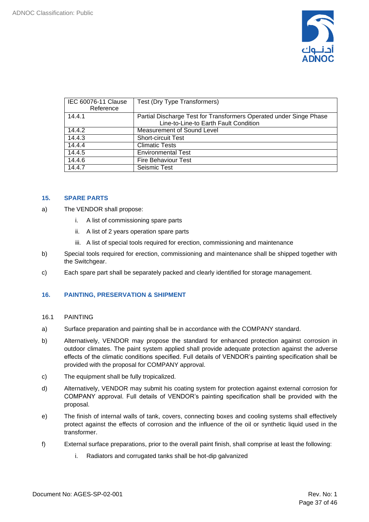

| IEC 60076-11 Clause<br>Reference | Test (Dry Type Transformers)                                                                                |
|----------------------------------|-------------------------------------------------------------------------------------------------------------|
| 14.4.1                           | Partial Discharge Test for Transformers Operated under Singe Phase<br>Line-to-Line-to Earth Fault Condition |
| 14.4.2                           | Measurement of Sound Level                                                                                  |
| 14.4.3                           | <b>Short-circuit Test</b>                                                                                   |
| 14.4.4                           | <b>Climatic Tests</b>                                                                                       |
| 14.4.5                           | <b>Environmental Test</b>                                                                                   |
| 14.4.6                           | <b>Fire Behaviour Test</b>                                                                                  |
| 14.4.7                           | Seismic Test                                                                                                |

#### <span id="page-36-0"></span>**15. SPARE PARTS**

- a) The VENDOR shall propose:
	- i. A list of commissioning spare parts
	- ii. A list of 2 years operation spare parts
	- iii. A list of special tools required for erection, commissioning and maintenance
- b) Special tools required for erection, commissioning and maintenance shall be shipped together with the Switchgear.
- c) Each spare part shall be separately packed and clearly identified for storage management.

#### <span id="page-36-1"></span>**16. PAINTING, PRESERVATION & SHIPMENT**

- 16.1 PAINTING
- a) Surface preparation and painting shall be in accordance with the COMPANY standard.
- b) Alternatively, VENDOR may propose the standard for enhanced protection against corrosion in outdoor climates. The paint system applied shall provide adequate protection against the adverse effects of the climatic conditions specified. Full details of VENDOR's painting specification shall be provided with the proposal for COMPANY approval.
- c) The equipment shall be fully tropicalized.
- d) Alternatively, VENDOR may submit his coating system for protection against external corrosion for COMPANY approval. Full details of VENDOR's painting specification shall be provided with the proposal.
- e) The finish of internal walls of tank, covers, connecting boxes and cooling systems shall effectively protect against the effects of corrosion and the influence of the oil or synthetic liquid used in the transformer.
- f) External surface preparations, prior to the overall paint finish, shall comprise at least the following:
	- i. Radiators and corrugated tanks shall be hot-dip galvanized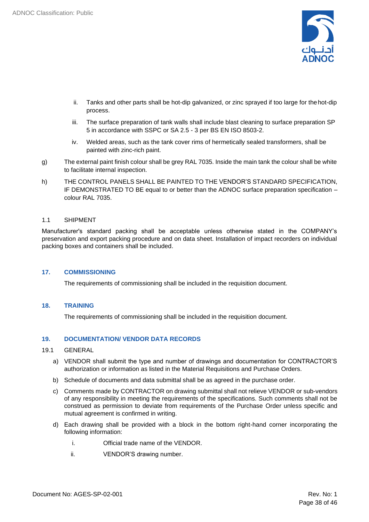

- ii. Tanks and other parts shall be hot-dip galvanized, or zinc sprayed if too large for thehot-dip process.
- iii. The surface preparation of tank walls shall include blast cleaning to surface preparation SP 5 in accordance with SSPC or SA 2.5 - 3 per BS EN ISO 8503-2.
- iv. Welded areas, such as the tank cover rims of hermetically sealed transformers, shall be painted with zinc-rich paint.
- g) The external paint finish colour shall be grey RAL 7035. Inside the main tank the colour shall be white to facilitate internal inspection.
- h) THE CONTROL PANELS SHALL BE PAINTED TO THE VENDOR'S STANDARD SPECIFICATION, IF DEMONSTRATED TO BE equal to or better than the ADNOC surface preparation specification – colour RAL 7035.

#### 1.1 SHIPMENT

Manufacturer's standard packing shall be acceptable unless otherwise stated in the COMPANY's preservation and export packing procedure and on data sheet. Installation of impact recorders on individual packing boxes and containers shall be included.

#### <span id="page-37-0"></span>**17. COMMISSIONING**

The requirements of commissioning shall be included in the requisition document.

#### <span id="page-37-1"></span>**18. TRAINING**

The requirements of commissioning shall be included in the requisition document.

#### <span id="page-37-2"></span>**19. DOCUMENTATION/ VENDOR DATA RECORDS**

#### <span id="page-37-3"></span>19.1 GENERAL

- a) VENDOR shall submit the type and number of drawings and documentation for CONTRACTOR'S authorization or information as listed in the Material Requisitions and Purchase Orders.
- b) Schedule of documents and data submittal shall be as agreed in the purchase order.
- c) Comments made by CONTRACTOR on drawing submittal shall not relieve VENDOR or sub-vendors of any responsibility in meeting the requirements of the specifications. Such comments shall not be construed as permission to deviate from requirements of the Purchase Order unless specific and mutual agreement is confirmed in writing.
- d) Each drawing shall be provided with a block in the bottom right-hand corner incorporating the following information:
	- i. Official trade name of the VENDOR.
	- ii. VENDOR'S drawing number.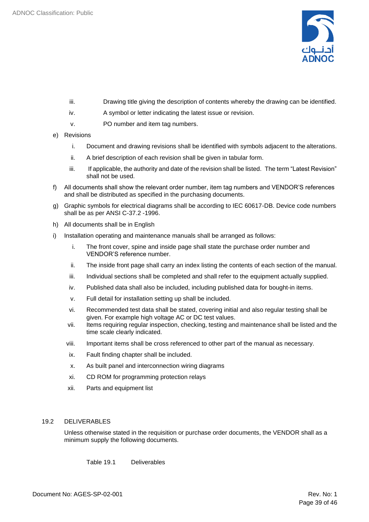

- iii. Drawing title giving the description of contents whereby the drawing can be identified.
- iv. A symbol or letter indicating the latest issue or revision.
- v. PO number and item tag numbers.
- e) Revisions
	- i. Document and drawing revisions shall be identified with symbols adjacent to the alterations.
	- ii. A brief description of each revision shall be given in tabular form.
	- iii. If applicable, the authority and date of the revision shall be listed. The term "Latest Revision" shall not be used.
- f) All documents shall show the relevant order number, item tag numbers and VENDOR'S references and shall be distributed as specified in the purchasing documents.
- g) Graphic symbols for electrical diagrams shall be according to IEC 60617-DB. Device code numbers shall be as per ANSI C-37.2 -1996.
- h) All documents shall be in English
- i) Installation operating and maintenance manuals shall be arranged as follows:
	- i. The front cover, spine and inside page shall state the purchase order number and VENDOR'S reference number.
	- ii. The inside front page shall carry an index listing the contents of each section of the manual.
	- iii. Individual sections shall be completed and shall refer to the equipment actually supplied.
	- iv. Published data shall also be included, including published data for bought-in items.
	- v. Full detail for installation setting up shall be included.
	- vi. Recommended test data shall be stated, covering initial and also regular testing shall be given. For example high voltage AC or DC test values.
	- vii. Items requiring regular inspection, checking, testing and maintenance shall be listed and the time scale clearly indicated.
	- viii. Important items shall be cross referenced to other part of the manual as necessary.
	- ix. Fault finding chapter shall be included.
	- x. As built panel and interconnection wiring diagrams
	- xi. CD ROM for programming protection relays
	- xii. Parts and equipment list

#### <span id="page-38-0"></span>19.2 DELIVERABLES

Unless otherwise stated in the requisition or purchase order documents, the VENDOR shall as a minimum supply the following documents.

Table 19.1 Deliverables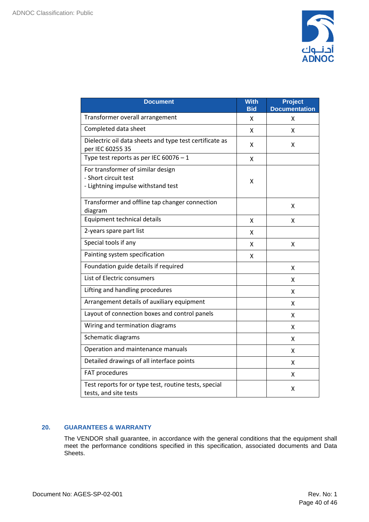

| <b>Document</b>                                                                                 | <b>With</b><br><b>Bid</b> | <b>Project</b><br><b>Documentation</b> |
|-------------------------------------------------------------------------------------------------|---------------------------|----------------------------------------|
| Transformer overall arrangement                                                                 | x                         | X                                      |
| Completed data sheet                                                                            | x                         | x                                      |
| Dielectric oil data sheets and type test certificate as<br>per IEC 60255 35                     | x                         | x                                      |
| Type test reports as per IEC 60076 - 1                                                          | X                         |                                        |
| For transformer of similar design<br>- Short circuit test<br>- Lightning impulse withstand test | x                         |                                        |
| Transformer and offline tap changer connection<br>diagram                                       |                           | x                                      |
| Equipment technical details                                                                     | Χ                         | X                                      |
| 2-years spare part list                                                                         | x                         |                                        |
| Special tools if any                                                                            | x                         | x                                      |
| Painting system specification                                                                   | X                         |                                        |
| Foundation guide details if required                                                            |                           | x                                      |
| List of Electric consumers                                                                      |                           | X                                      |
| Lifting and handling procedures                                                                 |                           | X                                      |
| Arrangement details of auxiliary equipment                                                      |                           | x                                      |
| Layout of connection boxes and control panels                                                   |                           | x                                      |
| Wiring and termination diagrams                                                                 |                           | x                                      |
| Schematic diagrams                                                                              |                           | x                                      |
| Operation and maintenance manuals                                                               |                           | X                                      |
| Detailed drawings of all interface points                                                       |                           | Χ                                      |
| FAT procedures                                                                                  |                           | x                                      |
| Test reports for or type test, routine tests, special<br>tests, and site tests                  |                           | x                                      |

#### <span id="page-39-0"></span>**20. GUARANTEES & WARRANTY**

The VENDOR shall guarantee, in accordance with the general conditions that the equipment shall meet the performance conditions specified in this specification, associated documents and Data Sheets.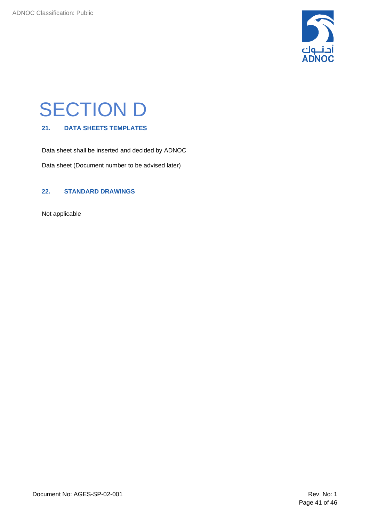

## <span id="page-40-0"></span>SECTION D

#### <span id="page-40-1"></span>**21. DATA SHEETS TEMPLATES**

Data sheet shall be inserted and decided by ADNOC

Data sheet (Document number to be advised later)

#### <span id="page-40-2"></span>**22. STANDARD DRAWINGS**

Not applicable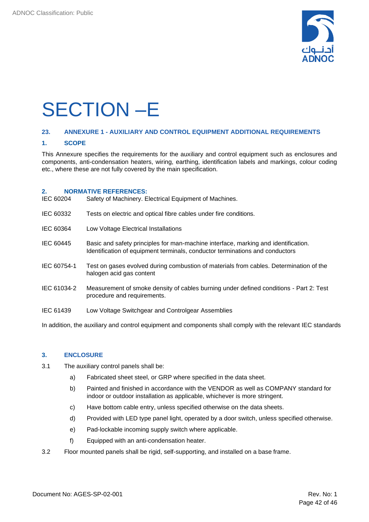

## <span id="page-41-0"></span>SECTION –E

#### <span id="page-41-1"></span>**23. ANNEXURE 1 - AUXILIARY AND CONTROL EQUIPMENT ADDITIONAL REQUIREMENTS**

#### **1. SCOPE**

This Annexure specifies the requirements for the auxiliary and control equipment such as enclosures and components, anti-condensation heaters, wiring, earthing, identification labels and markings, colour coding etc., where these are not fully covered by the main specification.

#### **2. NORMATIVE REFERENCES:**

| IEC 60204   | Safety of Machinery. Electrical Equipment of Machines.                                                                                                             |
|-------------|--------------------------------------------------------------------------------------------------------------------------------------------------------------------|
| IEC 60332   | Tests on electric and optical fibre cables under fire conditions.                                                                                                  |
| IEC 60364   | Low Voltage Electrical Installations                                                                                                                               |
| IEC 60445   | Basic and safety principles for man-machine interface, marking and identification.<br>Identification of equipment terminals, conductor terminations and conductors |
| IEC 60754-1 | Test on gases evolved during combustion of materials from cables. Determination of the<br>halogen acid gas content                                                 |
| IEC 61034-2 | Measurement of smoke density of cables burning under defined conditions - Part 2: Test<br>procedure and requirements.                                              |
| IEC 61439   | Low Voltage Switchgear and Controlgear Assemblies                                                                                                                  |

In addition, the auxiliary and control equipment and components shall comply with the relevant IEC standards

#### **3. ENCLOSURE**

- 3.1 The auxiliary control panels shall be:
	- a) Fabricated sheet steel, or GRP where specified in the data sheet.
	- b) Painted and finished in accordance with the VENDOR as well as COMPANY standard for indoor or outdoor installation as applicable, whichever is more stringent.
	- c) Have bottom cable entry, unless specified otherwise on the data sheets.
	- d) Provided with LED type panel light, operated by a door switch, unless specified otherwise.
	- e) Pad-lockable incoming supply switch where applicable.
	- f) Equipped with an anti-condensation heater.
- 3.2 Floor mounted panels shall be rigid, self-supporting, and installed on a base frame.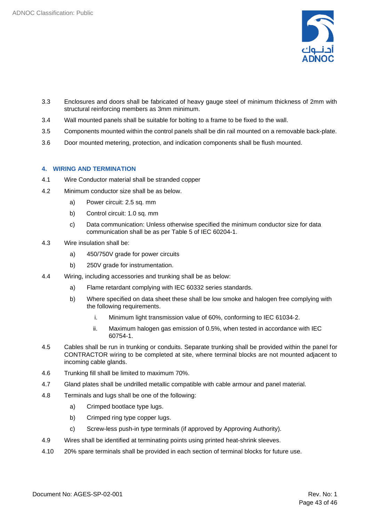

- 3.3 Enclosures and doors shall be fabricated of heavy gauge steel of minimum thickness of 2mm with structural reinforcing members as 3mm minimum.
- 3.4 Wall mounted panels shall be suitable for bolting to a frame to be fixed to the wall.
- 3.5 Components mounted within the control panels shall be din rail mounted on a removable back-plate.
- 3.6 Door mounted metering, protection, and indication components shall be flush mounted.

#### **4. WIRING AND TERMINATION**

- 4.1 Wire Conductor material shall be stranded copper
- 4.2 Minimum conductor size shall be as below.
	- a) Power circuit: 2.5 sq. mm
	- b) Control circuit: 1.0 sq. mm
	- c) Data communication: Unless otherwise specified the minimum conductor size for data communication shall be as per Table 5 of IEC 60204-1.
- 4.3 Wire insulation shall be:
	- a) 450/750V grade for power circuits
	- b) 250V grade for instrumentation.
- 4.4 Wiring, including accessories and trunking shall be as below:
	- a) Flame retardant complying with IEC 60332 series standards.
	- b) Where specified on data sheet these shall be low smoke and halogen free complying with the following requirements.
		- i. Minimum light transmission value of 60%, conforming to IEC 61034‑2.
		- ii. Maximum halogen gas emission of 0.5%, when tested in accordance with IEC 60754‑1.
- 4.5 Cables shall be run in trunking or conduits. Separate trunking shall be provided within the panel for CONTRACTOR wiring to be completed at site, where terminal blocks are not mounted adjacent to incoming cable glands.
- 4.6 Trunking fill shall be limited to maximum 70%.
- 4.7 Gland plates shall be undrilled metallic compatible with cable armour and panel material.
- 4.8 Terminals and lugs shall be one of the following:
	- a) Crimped bootlace type lugs.
	- b) Crimped ring type copper lugs.
	- c) Screw-less push-in type terminals (if approved by Approving Authority).
- 4.9 Wires shall be identified at terminating points using printed heat-shrink sleeves.
- 4.10 20% spare terminals shall be provided in each section of terminal blocks for future use.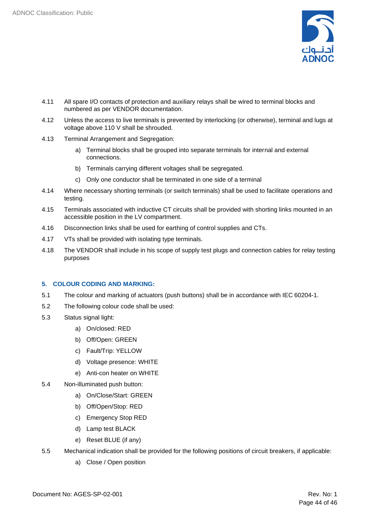

- 4.11 All spare I/O contacts of protection and auxiliary relays shall be wired to terminal blocks and numbered as per VENDOR documentation.
- 4.12 Unless the access to live terminals is prevented by interlocking (or otherwise), terminal and lugs at voltage above 110 V shall be shrouded.
- 4.13 Terminal Arrangement and Segregation:
	- a) Terminal blocks shall be grouped into separate terminals for internal and external connections.
	- b) Terminals carrying different voltages shall be segregated.
	- c) Only one conductor shall be terminated in one side of a terminal
- 4.14 Where necessary shorting terminals (or switch terminals) shall be used to facilitate operations and testing.
- 4.15 Terminals associated with inductive CT circuits shall be provided with shorting links mounted in an accessible position in the LV compartment.
- 4.16 Disconnection links shall be used for earthing of control supplies and CTs.
- 4.17 VTs shall be provided with isolating type terminals.
- 4.18 The VENDOR shall include in his scope of supply test plugs and connection cables for relay testing purposes

#### **5. COLOUR CODING AND MARKING:**

- 5.1 The colour and marking of actuators (push buttons) shall be in accordance with IEC 60204-1.
- 5.2 The following colour code shall be used:
- 5.3 Status signal light:
	- a) On/closed: RED
	- b) Off/Open: GREEN
	- c) Fault/Trip: YELLOW
	- d) Voltage presence: WHITE
	- e) Anti-con heater on WHITE
- 5.4 Non-illuminated push button:
	- a) On/Close/Start: GREEN
	- b) Off/Open/Stop: RED
	- c) Emergency Stop RED
	- d) Lamp test BLACK
	- e) Reset BLUE (if any)
- 5.5 Mechanical indication shall be provided for the following positions of circuit breakers, if applicable:
	- a) Close / Open position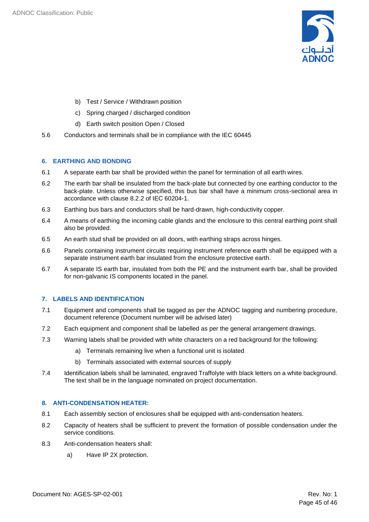

- b) Test / Service / Withdrawn position
- c) Spring charged / discharged condition
- d) Earth switch position Open / Closed
- 5.6 Conductors and terminals shall be in compliance with the IEC 60445

#### **6. EARTHING AND BONDING**

- 6.1 A separate earth bar shall be provided within the panel for termination of all earth wires.
- 6.2 The earth bar shall be insulated from the back-plate but connected by one earthing conductor to the back-plate. Unless otherwise specified, this bus bar shall have a minimum cross-sectional area in accordance with clause 8.2.2 of IEC 60204-1.
- 6.3 Earthing bus bars and conductors shall be hard-drawn, high-conductivity copper.
- 6.4 A means of earthing the incoming cable glands and the enclosure to this central earthing point shall also be provided.
- 6.5 An earth stud shall be provided on all doors, with earthing straps across hinges.
- 6.6 Panels containing instrument circuits requiring instrument reference earth shall be equipped with a separate instrument earth bar insulated from the enclosure protective earth.
- 6.7 A separate IS earth bar, insulated from both the PE and the instrument earth bar, shall be provided for non-galvanic IS components located in the panel.

#### **7. LABELS AND IDENTIFICATION**

- 7.1 Equipment and components shall be tagged as per the ADNOC tagging and numbering procedure, document reference (Document number will be advised later)
- 7.2 Each equipment and component shall be labelled as per the general arrangement drawings.
- 7.3 Warning labels shall be provided with white characters on a red background for the following:
	- a) Terminals remaining live when a functional unit is isolated
	- b) Terminals associated with external sources of supply
- 7.4 Identification labels shall be laminated, engraved Traffolyte with black letters on a white background. The text shall be in the language nominated on project documentation.

#### **8. ANTI-CONDENSATION HEATER:**

- 8.1 Each assembly section of enclosures shall be equipped with anti-condensation heaters.
- 8.2 Capacity of heaters shall be sufficient to prevent the formation of possible condensation under the service conditions.
- 8.3 Anti-condensation heaters shall:
	- a) Have IP 2X protection.